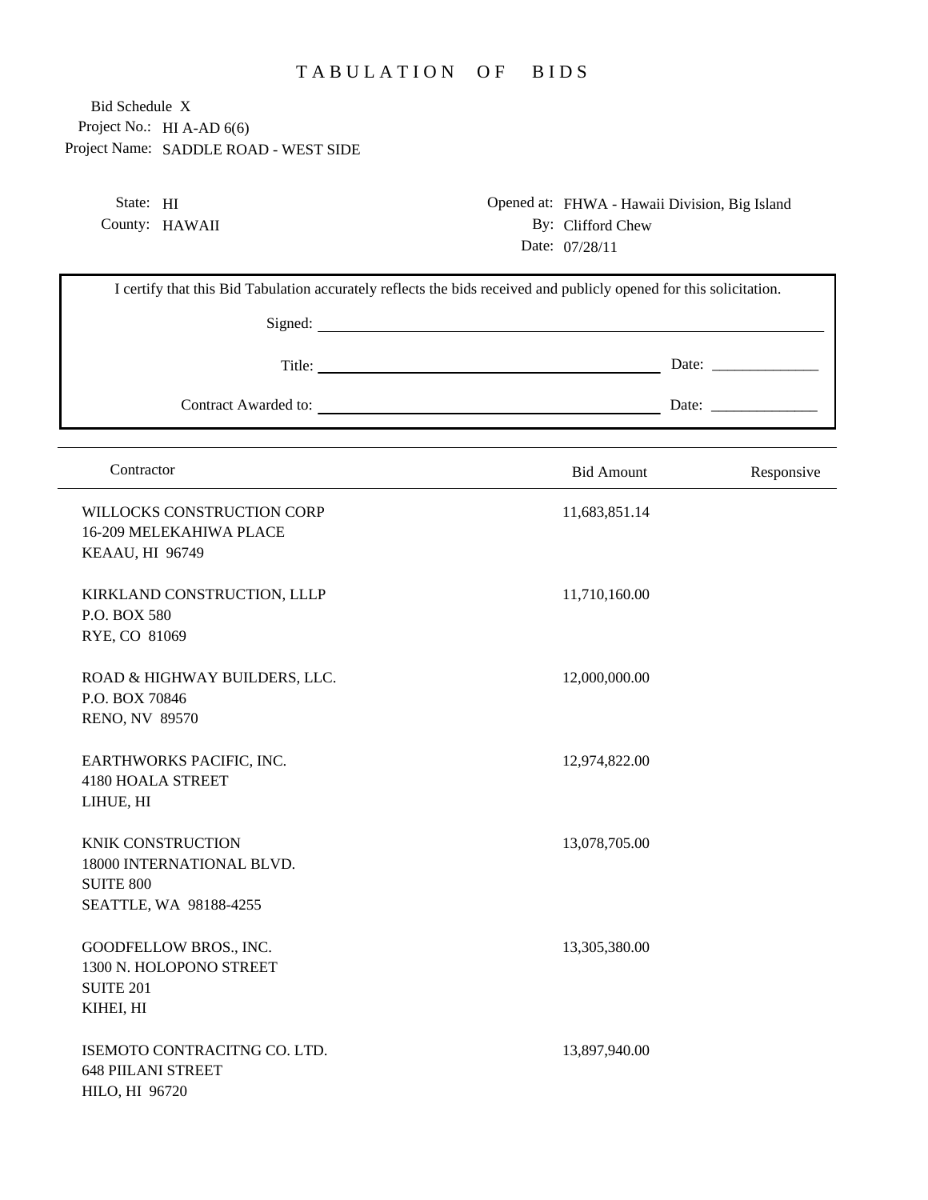## TABULATION OF BIDS

Project No.: HI A-AD 6(6) Project Name: SADDLE ROAD - WEST SIDE Bid Schedule X

> State: HI County: HAWAII

Opened at: FHWA - Hawaii Division, Big Island By: Clifford Chew Date: 07/28/11

| I certify that this Bid Tabulation accurately reflects the bids received and publicly opened for this solicitation. |                   |                       |  |  |
|---------------------------------------------------------------------------------------------------------------------|-------------------|-----------------------|--|--|
|                                                                                                                     |                   |                       |  |  |
|                                                                                                                     |                   | Date: $\qquad \qquad$ |  |  |
|                                                                                                                     |                   |                       |  |  |
| Contractor                                                                                                          | <b>Bid Amount</b> | Responsive            |  |  |
| WILLOCKS CONSTRUCTION CORP<br>16-209 MELEKAHIWA PLACE<br>KEAAU, HI 96749                                            | 11,683,851.14     |                       |  |  |
| KIRKLAND CONSTRUCTION, LLLP<br>P.O. BOX 580<br>RYE, CO 81069                                                        | 11,710,160.00     |                       |  |  |
| ROAD & HIGHWAY BUILDERS, LLC.<br>P.O. BOX 70846<br><b>RENO, NV 89570</b>                                            | 12,000,000.00     |                       |  |  |
| EARTHWORKS PACIFIC, INC.<br><b>4180 HOALA STREET</b><br>LIHUE, HI                                                   | 12,974,822.00     |                       |  |  |
| <b>KNIK CONSTRUCTION</b><br>18000 INTERNATIONAL BLVD.<br><b>SUITE 800</b><br>SEATTLE, WA 98188-4255                 | 13,078,705.00     |                       |  |  |
| GOODFELLOW BROS., INC.<br>1300 N. HOLOPONO STREET<br><b>SUITE 201</b><br>KIHEI, HI                                  | 13,305,380.00     |                       |  |  |
| ISEMOTO CONTRACITNG CO. LTD.<br><b>648 PIILANI STREET</b><br>HILO, HI 96720                                         | 13,897,940.00     |                       |  |  |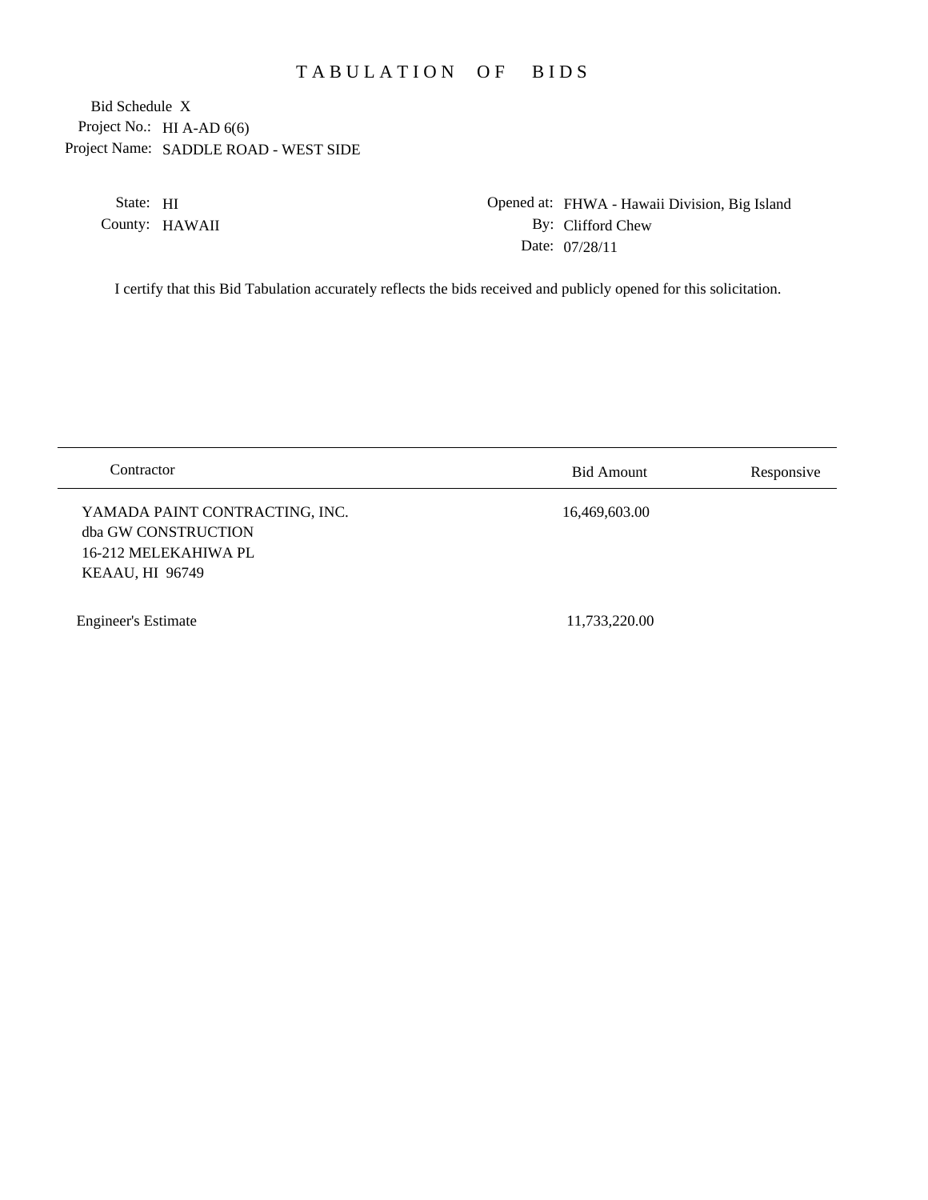## TABULATION OF BIDS

Project No.: HI A-AD 6(6) Project Name: SADDLE ROAD - WEST SIDE Bid Schedule X

> State: HI County: HAWAII

Opened at: FHWA - Hawaii Division, Big Island By: Clifford Chew Date: 07/28/11

I certify that this Bid Tabulation accurately reflects the bids received and publicly opened for this solicitation.

| Contractor                                                                                       | <b>Bid Amount</b> | Responsive |
|--------------------------------------------------------------------------------------------------|-------------------|------------|
| YAMADA PAINT CONTRACTING, INC.<br>dba GW CONSTRUCTION<br>16-212 MELEKAHIWA PL<br>KEAAU, HI 96749 | 16,469,603.00     |            |
| <b>Engineer's Estimate</b>                                                                       | 11,733,220.00     |            |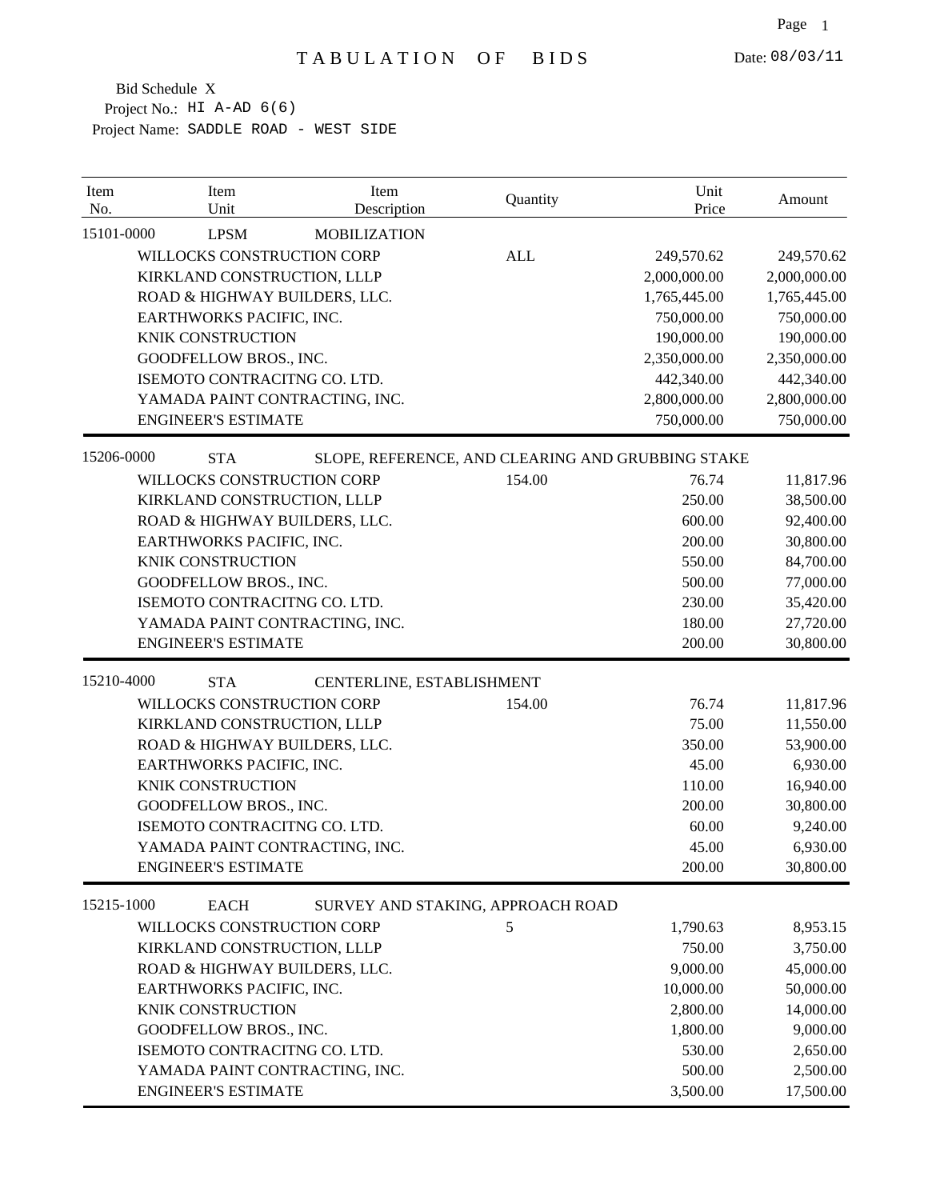| Item<br>No. | Item<br>Unit                   | Item<br>Description               | Quantity   | Unit<br>Price                                     | Amount       |
|-------------|--------------------------------|-----------------------------------|------------|---------------------------------------------------|--------------|
| 15101-0000  | <b>LPSM</b>                    | <b>MOBILIZATION</b>               |            |                                                   |              |
|             | WILLOCKS CONSTRUCTION CORP     |                                   | <b>ALL</b> | 249,570.62                                        | 249,570.62   |
|             | KIRKLAND CONSTRUCTION, LLLP    |                                   |            | 2,000,000.00                                      | 2,000,000.00 |
|             | ROAD & HIGHWAY BUILDERS, LLC.  |                                   |            | 1,765,445.00                                      | 1,765,445.00 |
|             | EARTHWORKS PACIFIC, INC.       |                                   |            | 750,000.00                                        | 750,000.00   |
|             | <b>KNIK CONSTRUCTION</b>       |                                   |            | 190,000.00                                        | 190,000.00   |
|             | GOODFELLOW BROS., INC.         |                                   |            | 2,350,000.00                                      | 2,350,000.00 |
|             | ISEMOTO CONTRACITNG CO. LTD.   |                                   |            | 442,340.00                                        | 442,340.00   |
|             | YAMADA PAINT CONTRACTING, INC. |                                   |            | 2,800,000.00                                      | 2,800,000.00 |
|             | <b>ENGINEER'S ESTIMATE</b>     |                                   |            | 750,000.00                                        | 750,000.00   |
| 15206-0000  | <b>STA</b>                     |                                   |            | SLOPE, REFERENCE, AND CLEARING AND GRUBBING STAKE |              |
|             | WILLOCKS CONSTRUCTION CORP     |                                   | 154.00     | 76.74                                             | 11,817.96    |
|             | KIRKLAND CONSTRUCTION, LLLP    |                                   |            | 250.00                                            | 38,500.00    |
|             | ROAD & HIGHWAY BUILDERS, LLC.  |                                   |            | 600.00                                            | 92,400.00    |
|             | EARTHWORKS PACIFIC, INC.       |                                   |            | 200.00                                            | 30,800.00    |
|             | <b>KNIK CONSTRUCTION</b>       |                                   |            | 550.00                                            | 84,700.00    |
|             | GOODFELLOW BROS., INC.         |                                   |            | 500.00                                            | 77,000.00    |
|             | ISEMOTO CONTRACITNG CO. LTD.   |                                   |            | 230.00                                            | 35,420.00    |
|             | YAMADA PAINT CONTRACTING, INC. |                                   |            | 180.00                                            | 27,720.00    |
|             | <b>ENGINEER'S ESTIMATE</b>     |                                   |            | 200.00                                            | 30,800.00    |
| 15210-4000  | <b>STA</b>                     | CENTERLINE, ESTABLISHMENT         |            |                                                   |              |
|             | WILLOCKS CONSTRUCTION CORP     |                                   | 154.00     | 76.74                                             | 11,817.96    |
|             | KIRKLAND CONSTRUCTION, LLLP    |                                   |            | 75.00                                             | 11,550.00    |
|             | ROAD & HIGHWAY BUILDERS, LLC.  |                                   |            | 350.00                                            | 53,900.00    |
|             | EARTHWORKS PACIFIC, INC.       |                                   |            | 45.00                                             | 6,930.00     |
|             | <b>KNIK CONSTRUCTION</b>       |                                   |            | 110.00                                            | 16,940.00    |
|             | GOODFELLOW BROS., INC.         |                                   |            | 200.00                                            | 30,800.00    |
|             | ISEMOTO CONTRACITNG CO. LTD.   |                                   |            | 60.00                                             | 9,240.00     |
|             | YAMADA PAINT CONTRACTING, INC. |                                   |            | 45.00                                             | 6,930.00     |
|             | <b>ENGINEER'S ESTIMATE</b>     |                                   |            | 200.00                                            | 30,800.00    |
| 15215-1000  | <b>EACH</b>                    | SURVEY AND STAKING, APPROACH ROAD |            |                                                   |              |
|             | WILLOCKS CONSTRUCTION CORP     |                                   | 5          | 1,790.63                                          | 8,953.15     |
|             | KIRKLAND CONSTRUCTION, LLLP    |                                   |            | 750.00                                            | 3,750.00     |
|             | ROAD & HIGHWAY BUILDERS, LLC.  |                                   |            | 9,000.00                                          | 45,000.00    |
|             | EARTHWORKS PACIFIC, INC.       |                                   |            | 10,000.00                                         | 50,000.00    |
|             | <b>KNIK CONSTRUCTION</b>       |                                   |            | 2,800.00                                          | 14,000.00    |
|             | GOODFELLOW BROS., INC.         |                                   |            | 1,800.00                                          | 9,000.00     |
|             | ISEMOTO CONTRACITNG CO. LTD.   |                                   |            | 530.00                                            | 2,650.00     |
|             | YAMADA PAINT CONTRACTING, INC. |                                   |            | 500.00                                            | 2,500.00     |
|             | <b>ENGINEER'S ESTIMATE</b>     |                                   |            | 3,500.00                                          | 17,500.00    |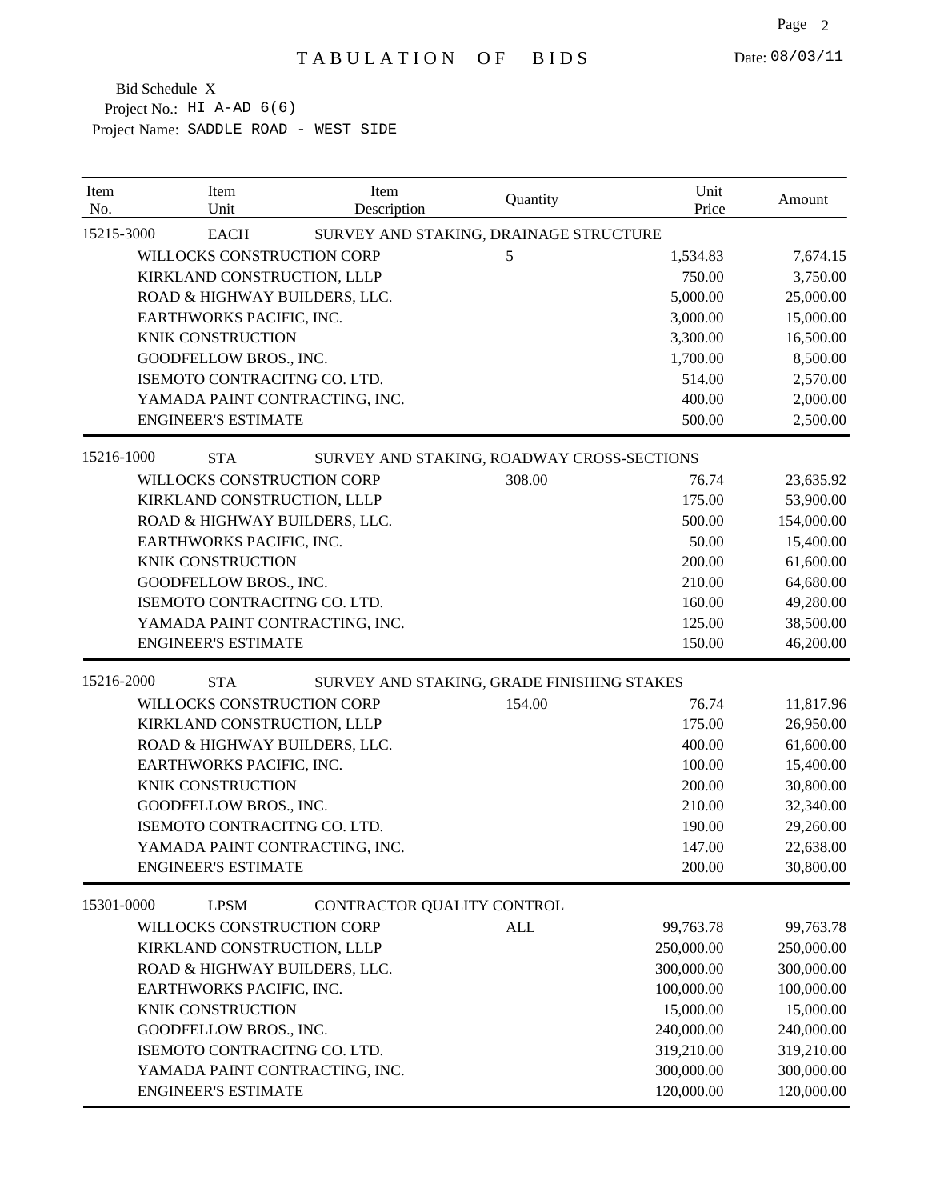| Item<br>No. | Item<br>Unit                   | Item<br>Description        | Quantity                                   | Unit<br>Price | Amount     |
|-------------|--------------------------------|----------------------------|--------------------------------------------|---------------|------------|
| 15215-3000  | <b>EACH</b>                    |                            | SURVEY AND STAKING, DRAINAGE STRUCTURE     |               |            |
|             | WILLOCKS CONSTRUCTION CORP     |                            | 5                                          | 1,534.83      | 7,674.15   |
|             | KIRKLAND CONSTRUCTION, LLLP    |                            |                                            | 750.00        | 3,750.00   |
|             | ROAD & HIGHWAY BUILDERS, LLC.  |                            |                                            | 5,000.00      | 25,000.00  |
|             | EARTHWORKS PACIFIC, INC.       |                            |                                            | 3,000.00      | 15,000.00  |
|             | <b>KNIK CONSTRUCTION</b>       |                            |                                            | 3,300.00      | 16,500.00  |
|             | GOODFELLOW BROS., INC.         |                            |                                            | 1,700.00      | 8,500.00   |
|             | ISEMOTO CONTRACITNG CO. LTD.   |                            |                                            | 514.00        | 2,570.00   |
|             | YAMADA PAINT CONTRACTING, INC. |                            |                                            | 400.00        | 2,000.00   |
|             | <b>ENGINEER'S ESTIMATE</b>     |                            |                                            | 500.00        | 2,500.00   |
| 15216-1000  | <b>STA</b>                     |                            | SURVEY AND STAKING, ROADWAY CROSS-SECTIONS |               |            |
|             | WILLOCKS CONSTRUCTION CORP     |                            | 308.00                                     | 76.74         | 23,635.92  |
|             | KIRKLAND CONSTRUCTION, LLLP    |                            |                                            | 175.00        | 53,900.00  |
|             | ROAD & HIGHWAY BUILDERS, LLC.  |                            |                                            | 500.00        | 154,000.00 |
|             | EARTHWORKS PACIFIC, INC.       |                            |                                            | 50.00         | 15,400.00  |
|             | <b>KNIK CONSTRUCTION</b>       |                            |                                            | 200.00        | 61,600.00  |
|             | GOODFELLOW BROS., INC.         |                            |                                            | 210.00        | 64,680.00  |
|             | ISEMOTO CONTRACITNG CO. LTD.   |                            |                                            | 160.00        | 49,280.00  |
|             | YAMADA PAINT CONTRACTING, INC. |                            |                                            | 125.00        | 38,500.00  |
|             | <b>ENGINEER'S ESTIMATE</b>     |                            |                                            | 150.00        | 46,200.00  |
| 15216-2000  | <b>STA</b>                     |                            | SURVEY AND STAKING, GRADE FINISHING STAKES |               |            |
|             | WILLOCKS CONSTRUCTION CORP     |                            | 154.00                                     | 76.74         | 11,817.96  |
|             | KIRKLAND CONSTRUCTION, LLLP    |                            |                                            | 175.00        | 26,950.00  |
|             | ROAD & HIGHWAY BUILDERS, LLC.  |                            |                                            | 400.00        | 61,600.00  |
|             | EARTHWORKS PACIFIC, INC.       |                            |                                            | 100.00        | 15,400.00  |
|             | <b>KNIK CONSTRUCTION</b>       |                            |                                            | 200.00        | 30,800.00  |
|             | GOODFELLOW BROS., INC.         |                            |                                            | 210.00        | 32,340.00  |
|             | ISEMOTO CONTRACITNG CO. LTD.   |                            |                                            | 190.00        | 29,260.00  |
|             | YAMADA PAINT CONTRACTING, INC. |                            |                                            | 147.00        | 22,638.00  |
|             | <b>ENGINEER'S ESTIMATE</b>     |                            |                                            | 200.00        | 30,800.00  |
| 15301-0000  | <b>LPSM</b>                    | CONTRACTOR QUALITY CONTROL |                                            |               |            |
|             | WILLOCKS CONSTRUCTION CORP     |                            | <b>ALL</b>                                 | 99,763.78     | 99,763.78  |
|             | KIRKLAND CONSTRUCTION, LLLP    |                            |                                            | 250,000.00    | 250,000.00 |
|             | ROAD & HIGHWAY BUILDERS, LLC.  |                            |                                            | 300,000.00    | 300,000.00 |
|             | EARTHWORKS PACIFIC, INC.       |                            |                                            | 100,000.00    | 100,000.00 |
|             | KNIK CONSTRUCTION              |                            |                                            | 15,000.00     | 15,000.00  |
|             | GOODFELLOW BROS., INC.         |                            |                                            | 240,000.00    | 240,000.00 |
|             | ISEMOTO CONTRACITNG CO. LTD.   |                            |                                            | 319,210.00    | 319,210.00 |
|             | YAMADA PAINT CONTRACTING, INC. |                            |                                            | 300,000.00    | 300,000.00 |
|             | <b>ENGINEER'S ESTIMATE</b>     |                            |                                            | 120,000.00    | 120,000.00 |
|             |                                |                            |                                            |               |            |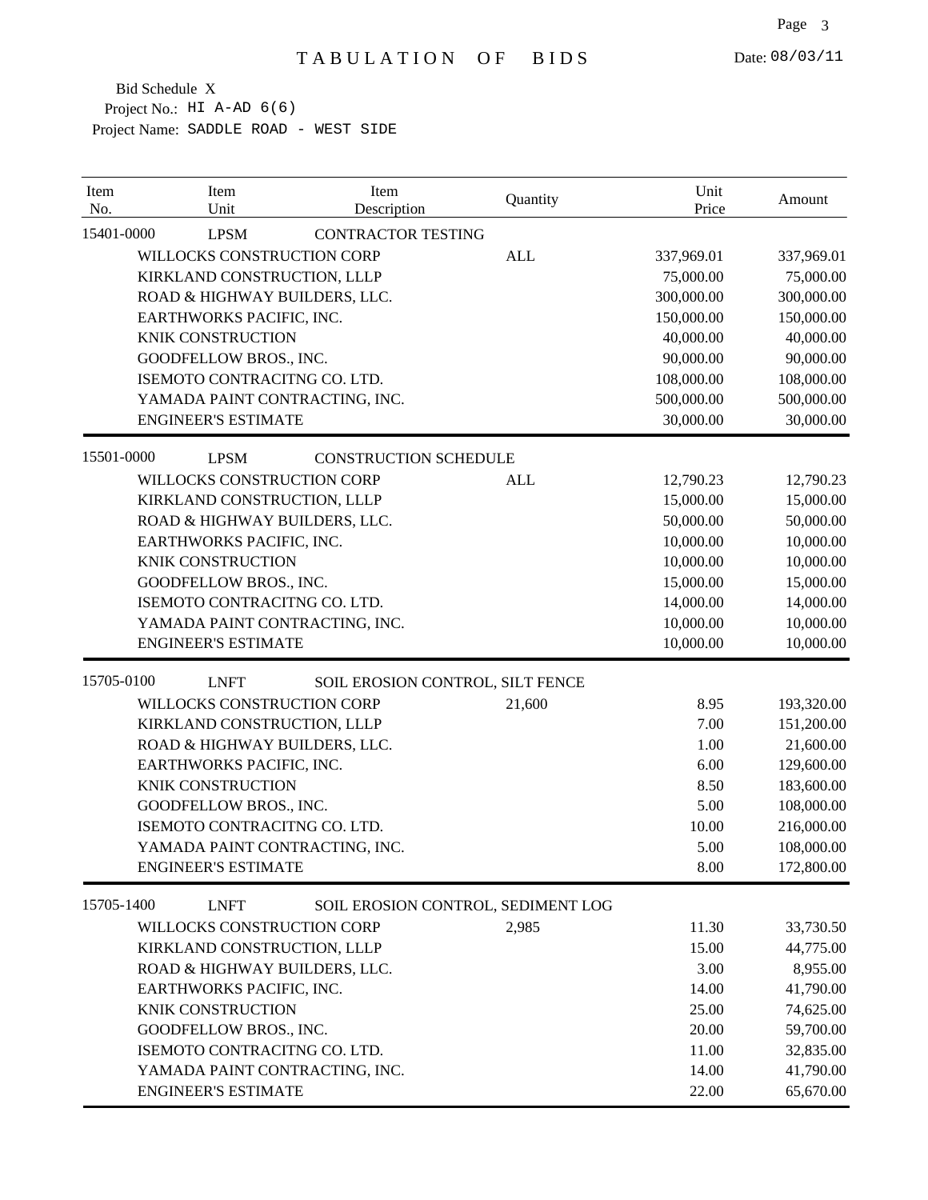| Item<br>No. | Item<br>Unit                   | Item<br>Description                | Quantity   | Unit<br>Price | Amount     |
|-------------|--------------------------------|------------------------------------|------------|---------------|------------|
| 15401-0000  | <b>LPSM</b>                    | <b>CONTRACTOR TESTING</b>          |            |               |            |
|             | WILLOCKS CONSTRUCTION CORP     |                                    | <b>ALL</b> | 337,969.01    | 337,969.01 |
|             | KIRKLAND CONSTRUCTION, LLLP    |                                    |            | 75,000.00     | 75,000.00  |
|             | ROAD & HIGHWAY BUILDERS, LLC.  |                                    |            | 300,000.00    | 300,000.00 |
|             | EARTHWORKS PACIFIC, INC.       |                                    |            | 150,000.00    | 150,000.00 |
|             | <b>KNIK CONSTRUCTION</b>       |                                    |            | 40,000.00     | 40,000.00  |
|             | GOODFELLOW BROS., INC.         |                                    |            | 90,000.00     | 90,000.00  |
|             | ISEMOTO CONTRACITNG CO. LTD.   |                                    |            | 108,000.00    | 108,000.00 |
|             | YAMADA PAINT CONTRACTING, INC. |                                    |            | 500,000.00    | 500,000.00 |
|             | <b>ENGINEER'S ESTIMATE</b>     |                                    |            | 30,000.00     | 30,000.00  |
| 15501-0000  | <b>LPSM</b>                    | <b>CONSTRUCTION SCHEDULE</b>       |            |               |            |
|             | WILLOCKS CONSTRUCTION CORP     |                                    | <b>ALL</b> | 12,790.23     | 12,790.23  |
|             | KIRKLAND CONSTRUCTION, LLLP    |                                    |            | 15,000.00     | 15,000.00  |
|             | ROAD & HIGHWAY BUILDERS, LLC.  |                                    |            | 50,000.00     | 50,000.00  |
|             | EARTHWORKS PACIFIC, INC.       |                                    |            | 10,000.00     | 10,000.00  |
|             | KNIK CONSTRUCTION              |                                    |            | 10,000.00     | 10,000.00  |
|             | GOODFELLOW BROS., INC.         |                                    |            | 15,000.00     | 15,000.00  |
|             | ISEMOTO CONTRACITNG CO. LTD.   |                                    |            | 14,000.00     | 14,000.00  |
|             | YAMADA PAINT CONTRACTING, INC. |                                    |            | 10,000.00     | 10,000.00  |
|             | <b>ENGINEER'S ESTIMATE</b>     |                                    |            | 10,000.00     | 10,000.00  |
| 15705-0100  | <b>LNFT</b>                    | SOIL EROSION CONTROL, SILT FENCE   |            |               |            |
|             | WILLOCKS CONSTRUCTION CORP     |                                    | 21,600     | 8.95          | 193,320.00 |
|             | KIRKLAND CONSTRUCTION, LLLP    |                                    |            | 7.00          | 151,200.00 |
|             | ROAD & HIGHWAY BUILDERS, LLC.  |                                    |            | 1.00          | 21,600.00  |
|             | EARTHWORKS PACIFIC, INC.       |                                    |            | 6.00          | 129,600.00 |
|             | <b>KNIK CONSTRUCTION</b>       |                                    |            | 8.50          | 183,600.00 |
|             | GOODFELLOW BROS., INC.         |                                    |            | 5.00          | 108,000.00 |
|             | ISEMOTO CONTRACITNG CO. LTD.   |                                    |            | 10.00         | 216,000.00 |
|             | YAMADA PAINT CONTRACTING, INC. |                                    |            | 5.00          | 108,000.00 |
|             | <b>ENGINEER'S ESTIMATE</b>     |                                    |            | 8.00          | 172,800.00 |
| 15705-1400  | <b>LNFT</b>                    | SOIL EROSION CONTROL, SEDIMENT LOG |            |               |            |
|             | WILLOCKS CONSTRUCTION CORP     |                                    | 2,985      | 11.30         | 33,730.50  |
|             | KIRKLAND CONSTRUCTION, LLLP    |                                    |            | 15.00         | 44,775.00  |
|             | ROAD & HIGHWAY BUILDERS, LLC.  |                                    |            | 3.00          | 8,955.00   |
|             | EARTHWORKS PACIFIC, INC.       |                                    |            | 14.00         | 41,790.00  |
|             | KNIK CONSTRUCTION              |                                    |            | 25.00         | 74,625.00  |
|             | GOODFELLOW BROS., INC.         |                                    |            | 20.00         | 59,700.00  |
|             | ISEMOTO CONTRACITNG CO. LTD.   |                                    |            | 11.00         | 32,835.00  |
|             | YAMADA PAINT CONTRACTING, INC. |                                    |            | 14.00         | 41,790.00  |
|             | <b>ENGINEER'S ESTIMATE</b>     |                                    |            | 22.00         | 65,670.00  |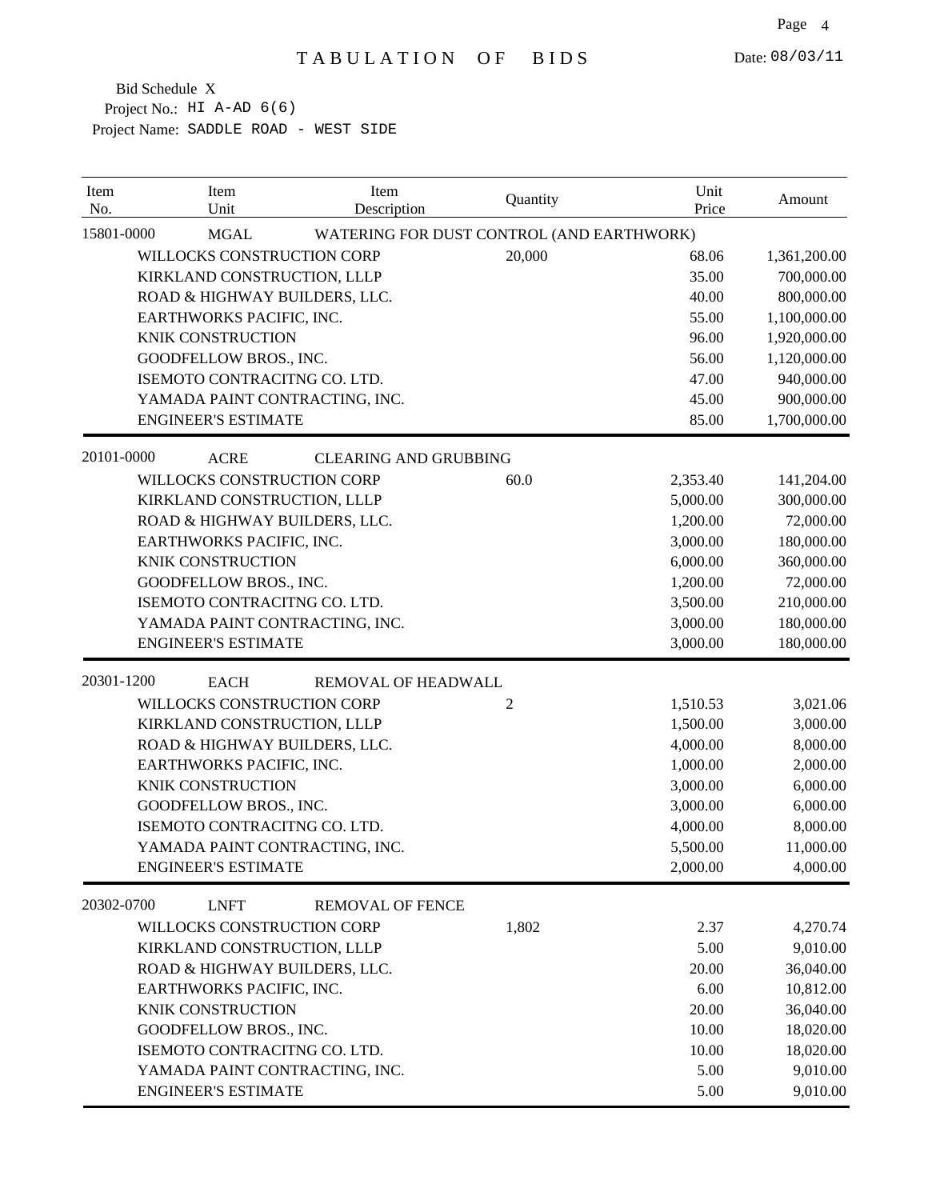| Item<br>Item<br>Unit<br>No.    | Item<br>Description                       | Quantity       | Unit<br>Price | Amount       |
|--------------------------------|-------------------------------------------|----------------|---------------|--------------|
| 15801-0000<br><b>MGAL</b>      | WATERING FOR DUST CONTROL (AND EARTHWORK) |                |               |              |
| WILLOCKS CONSTRUCTION CORP     |                                           | 20,000         | 68.06         | 1,361,200.00 |
| KIRKLAND CONSTRUCTION, LLLP    |                                           |                | 35.00         | 700,000.00   |
| ROAD & HIGHWAY BUILDERS, LLC.  |                                           |                | 40.00         | 800,000.00   |
| EARTHWORKS PACIFIC, INC.       |                                           |                | 55.00         | 1,100,000.00 |
| <b>KNIK CONSTRUCTION</b>       |                                           |                | 96.00         | 1,920,000.00 |
| <b>GOODFELLOW BROS., INC.</b>  |                                           |                | 56.00         | 1,120,000.00 |
| ISEMOTO CONTRACITNG CO. LTD.   |                                           |                | 47.00         | 940,000.00   |
| YAMADA PAINT CONTRACTING, INC. |                                           |                | 45.00         | 900,000.00   |
| <b>ENGINEER'S ESTIMATE</b>     |                                           |                | 85.00         | 1,700,000.00 |
| 20101-0000<br><b>ACRE</b>      | <b>CLEARING AND GRUBBING</b>              |                |               |              |
| WILLOCKS CONSTRUCTION CORP     |                                           | 60.0           | 2,353.40      | 141,204.00   |
| KIRKLAND CONSTRUCTION, LLLP    |                                           |                | 5,000.00      | 300,000.00   |
| ROAD & HIGHWAY BUILDERS, LLC.  |                                           |                | 1,200.00      | 72,000.00    |
| EARTHWORKS PACIFIC, INC.       |                                           |                | 3,000.00      | 180,000.00   |
| <b>KNIK CONSTRUCTION</b>       |                                           |                | 6,000.00      | 360,000.00   |
| GOODFELLOW BROS., INC.         |                                           |                | 1,200.00      | 72,000.00    |
| ISEMOTO CONTRACITNG CO. LTD.   |                                           |                | 3,500.00      | 210,000.00   |
| YAMADA PAINT CONTRACTING, INC. |                                           |                | 3,000.00      | 180,000.00   |
| <b>ENGINEER'S ESTIMATE</b>     |                                           |                | 3,000.00      | 180,000.00   |
| 20301-1200<br><b>EACH</b>      | REMOVAL OF HEADWALL                       |                |               |              |
| WILLOCKS CONSTRUCTION CORP     |                                           | $\overline{c}$ | 1,510.53      | 3,021.06     |
| KIRKLAND CONSTRUCTION, LLLP    |                                           |                | 1,500.00      | 3,000.00     |
| ROAD & HIGHWAY BUILDERS, LLC.  |                                           |                | 4,000.00      | 8,000.00     |
| EARTHWORKS PACIFIC, INC.       |                                           |                | 1,000.00      | 2,000.00     |
| KNIK CONSTRUCTION              |                                           |                | 3,000.00      | 6,000.00     |
| GOODFELLOW BROS., INC.         |                                           |                | 3,000.00      | 6,000.00     |
| ISEMOTO CONTRACITNG CO. LTD.   |                                           |                | 4,000.00      | 8,000.00     |
| YAMADA PAINT CONTRACTING, INC. |                                           |                | 5,500.00      | 11,000.00    |
| <b>ENGINEER'S ESTIMATE</b>     |                                           |                | 2,000.00      | 4,000.00     |
| 20302-0700<br><b>LNFT</b>      | <b>REMOVAL OF FENCE</b>                   |                |               |              |
| WILLOCKS CONSTRUCTION CORP     |                                           | 1,802          | 2.37          | 4,270.74     |
| KIRKLAND CONSTRUCTION, LLLP    |                                           |                | 5.00          | 9,010.00     |
| ROAD & HIGHWAY BUILDERS, LLC.  |                                           |                | 20.00         | 36,040.00    |
| EARTHWORKS PACIFIC, INC.       |                                           |                | 6.00          | 10,812.00    |
| KNIK CONSTRUCTION              |                                           |                | 20.00         | 36,040.00    |
| GOODFELLOW BROS., INC.         |                                           |                | 10.00         | 18,020.00    |
| ISEMOTO CONTRACITNG CO. LTD.   |                                           |                | 10.00         | 18,020.00    |
| YAMADA PAINT CONTRACTING, INC. |                                           |                | 5.00          | 9,010.00     |
| <b>ENGINEER'S ESTIMATE</b>     |                                           |                | 5.00          | 9,010.00     |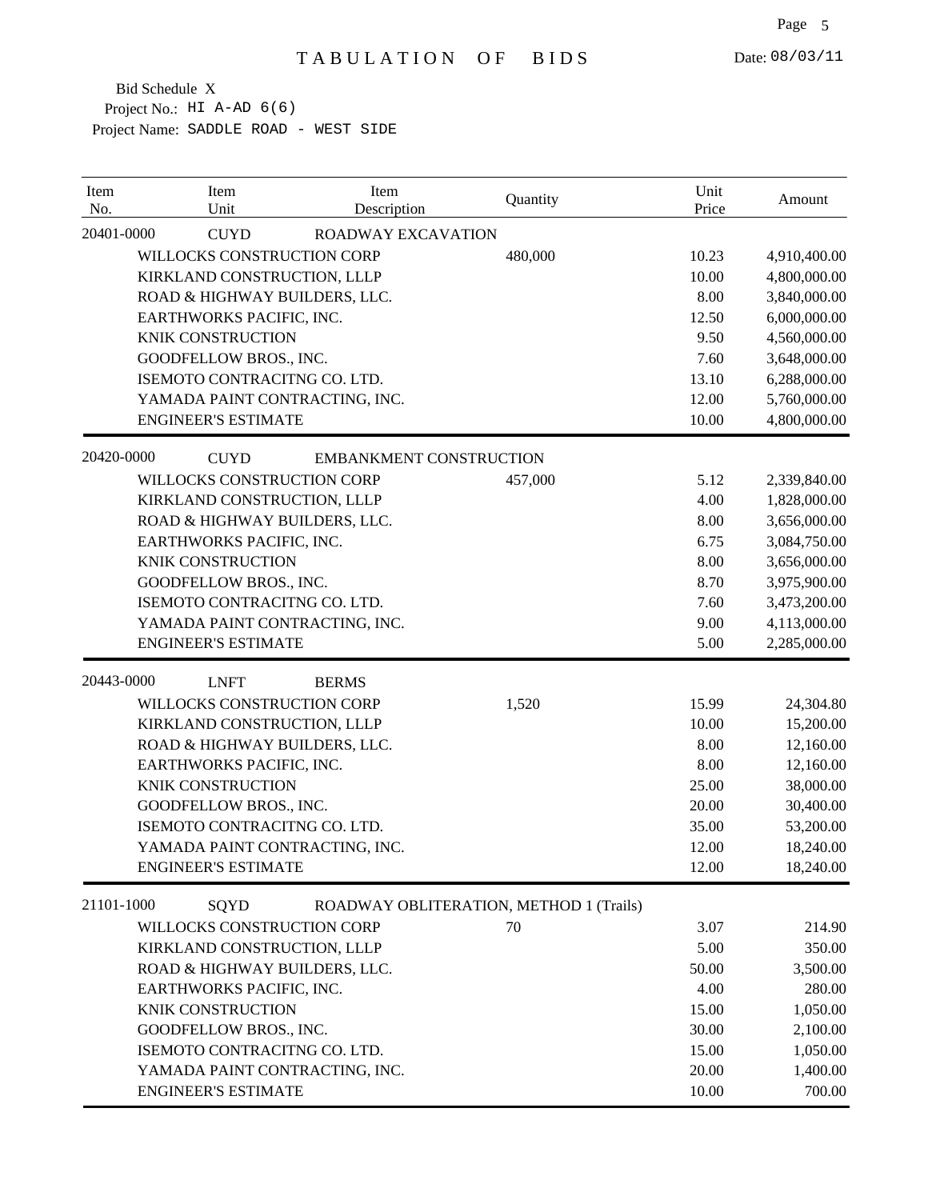| Item<br>No. | Item<br>Unit                   | Item<br>Description            | Quantity                                | Unit<br>Price | Amount       |
|-------------|--------------------------------|--------------------------------|-----------------------------------------|---------------|--------------|
| 20401-0000  | <b>CUYD</b>                    | <b>ROADWAY EXCAVATION</b>      |                                         |               |              |
|             | WILLOCKS CONSTRUCTION CORP     |                                | 480,000                                 | 10.23         | 4,910,400.00 |
|             | KIRKLAND CONSTRUCTION, LLLP    |                                |                                         | 10.00         | 4,800,000.00 |
|             | ROAD & HIGHWAY BUILDERS, LLC.  |                                |                                         | 8.00          | 3,840,000.00 |
|             | EARTHWORKS PACIFIC, INC.       |                                |                                         | 12.50         | 6,000,000.00 |
|             | <b>KNIK CONSTRUCTION</b>       |                                |                                         | 9.50          | 4,560,000.00 |
|             | GOODFELLOW BROS., INC.         |                                |                                         | 7.60          | 3,648,000.00 |
|             | ISEMOTO CONTRACITNG CO. LTD.   |                                |                                         | 13.10         | 6,288,000.00 |
|             | YAMADA PAINT CONTRACTING, INC. |                                |                                         | 12.00         | 5,760,000.00 |
|             | <b>ENGINEER'S ESTIMATE</b>     |                                |                                         | 10.00         | 4,800,000.00 |
| 20420-0000  | <b>CUYD</b>                    | <b>EMBANKMENT CONSTRUCTION</b> |                                         |               |              |
|             | WILLOCKS CONSTRUCTION CORP     |                                | 457,000                                 | 5.12          | 2,339,840.00 |
|             | KIRKLAND CONSTRUCTION, LLLP    |                                |                                         | 4.00          | 1,828,000.00 |
|             | ROAD & HIGHWAY BUILDERS, LLC.  |                                |                                         | 8.00          | 3,656,000.00 |
|             | EARTHWORKS PACIFIC, INC.       |                                |                                         | 6.75          | 3,084,750.00 |
|             | <b>KNIK CONSTRUCTION</b>       |                                |                                         | 8.00          | 3,656,000.00 |
|             | GOODFELLOW BROS., INC.         |                                |                                         | 8.70          | 3,975,900.00 |
|             | ISEMOTO CONTRACITNG CO. LTD.   |                                |                                         | 7.60          | 3,473,200.00 |
|             | YAMADA PAINT CONTRACTING, INC. |                                |                                         | 9.00          | 4,113,000.00 |
|             | <b>ENGINEER'S ESTIMATE</b>     |                                |                                         | 5.00          | 2,285,000.00 |
| 20443-0000  | <b>LNFT</b>                    | <b>BERMS</b>                   |                                         |               |              |
|             | WILLOCKS CONSTRUCTION CORP     |                                | 1,520                                   | 15.99         | 24,304.80    |
|             | KIRKLAND CONSTRUCTION, LLLP    |                                |                                         | 10.00         | 15,200.00    |
|             | ROAD & HIGHWAY BUILDERS, LLC.  |                                |                                         | 8.00          | 12,160.00    |
|             | EARTHWORKS PACIFIC, INC.       |                                |                                         | 8.00          | 12,160.00    |
|             | <b>KNIK CONSTRUCTION</b>       |                                |                                         | 25.00         | 38,000.00    |
|             | GOODFELLOW BROS., INC.         |                                |                                         | 20.00         | 30,400.00    |
|             | ISEMOTO CONTRACITNG CO. LTD.   |                                |                                         | 35.00         | 53,200.00    |
|             | YAMADA PAINT CONTRACTING, INC. |                                |                                         | 12.00         | 18,240.00    |
|             | <b>ENGINEER'S ESTIMATE</b>     |                                |                                         | 12.00         | 18,240.00    |
| 21101-1000  | SQYD                           |                                | ROADWAY OBLITERATION, METHOD 1 (Trails) |               |              |
|             | WILLOCKS CONSTRUCTION CORP     |                                | 70                                      | 3.07          | 214.90       |
|             | KIRKLAND CONSTRUCTION, LLLP    |                                |                                         | 5.00          | 350.00       |
|             | ROAD & HIGHWAY BUILDERS, LLC.  |                                |                                         | 50.00         | 3,500.00     |
|             | EARTHWORKS PACIFIC, INC.       |                                |                                         | 4.00          | 280.00       |
|             | KNIK CONSTRUCTION              |                                |                                         | 15.00         | 1,050.00     |
|             | GOODFELLOW BROS., INC.         |                                |                                         | 30.00         | 2,100.00     |
|             | ISEMOTO CONTRACITNG CO. LTD.   |                                |                                         | 15.00         | 1,050.00     |
|             | YAMADA PAINT CONTRACTING, INC. |                                |                                         | 20.00         | 1,400.00     |
|             | <b>ENGINEER'S ESTIMATE</b>     |                                |                                         | 10.00         | 700.00       |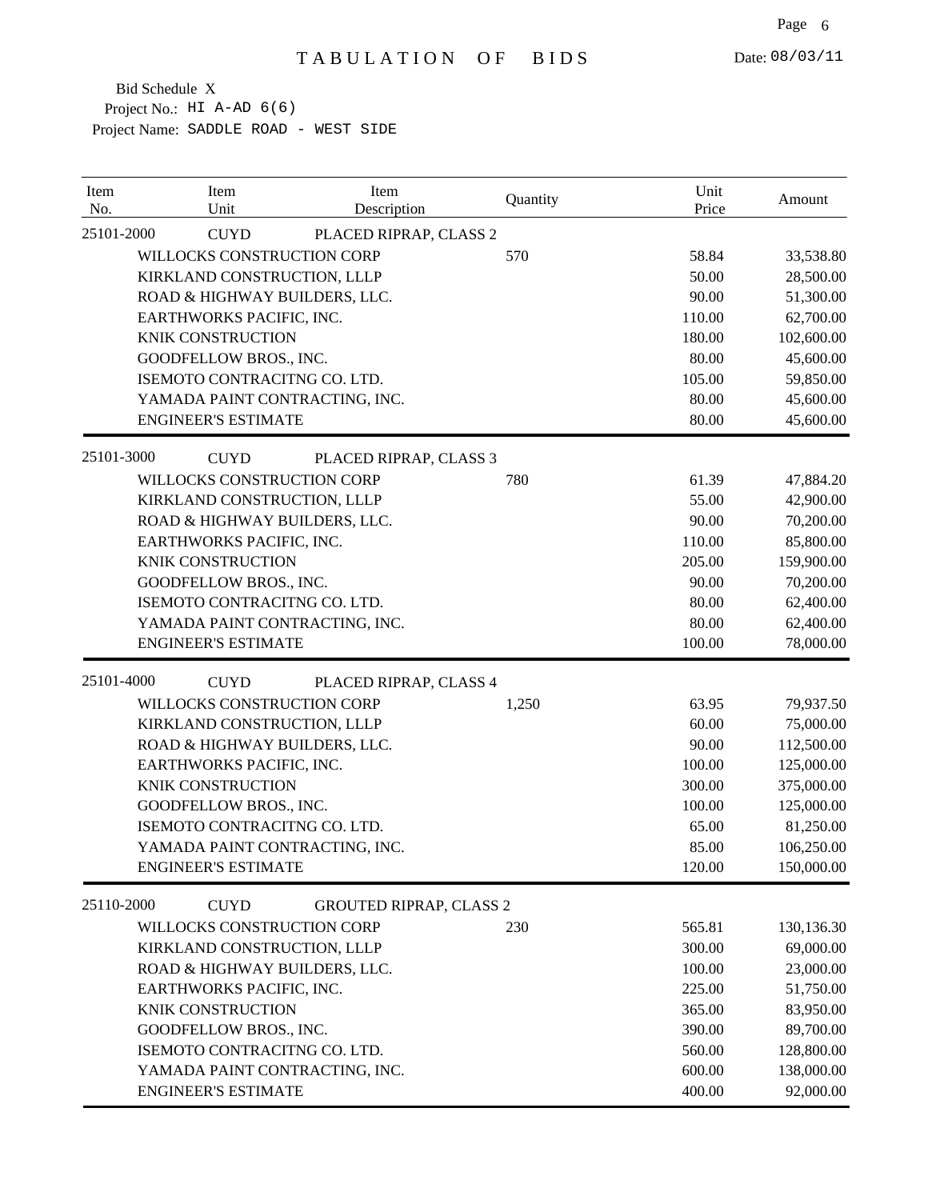| Item<br>No. | Item<br>Unit                   | Item<br>Description            | Quantity | Unit<br>Price | Amount     |
|-------------|--------------------------------|--------------------------------|----------|---------------|------------|
| 25101-2000  | <b>CUYD</b>                    | PLACED RIPRAP, CLASS 2         |          |               |            |
|             | WILLOCKS CONSTRUCTION CORP     |                                | 570      | 58.84         | 33,538.80  |
|             | KIRKLAND CONSTRUCTION, LLLP    |                                |          | 50.00         | 28,500.00  |
|             | ROAD & HIGHWAY BUILDERS, LLC.  |                                |          | 90.00         | 51,300.00  |
|             | EARTHWORKS PACIFIC, INC.       |                                |          | 110.00        | 62,700.00  |
|             | <b>KNIK CONSTRUCTION</b>       |                                |          | 180.00        | 102,600.00 |
|             | GOODFELLOW BROS., INC.         |                                |          | 80.00         | 45,600.00  |
|             | ISEMOTO CONTRACITNG CO. LTD.   |                                |          | 105.00        | 59,850.00  |
|             | YAMADA PAINT CONTRACTING, INC. |                                |          | 80.00         | 45,600.00  |
|             | <b>ENGINEER'S ESTIMATE</b>     |                                |          | 80.00         | 45,600.00  |
| 25101-3000  | <b>CUYD</b>                    | PLACED RIPRAP, CLASS 3         |          |               |            |
|             | WILLOCKS CONSTRUCTION CORP     |                                | 780      | 61.39         | 47,884.20  |
|             | KIRKLAND CONSTRUCTION, LLLP    |                                |          | 55.00         | 42,900.00  |
|             | ROAD & HIGHWAY BUILDERS, LLC.  |                                |          | 90.00         | 70,200.00  |
|             | EARTHWORKS PACIFIC, INC.       |                                |          | 110.00        | 85,800.00  |
|             | <b>KNIK CONSTRUCTION</b>       |                                |          | 205.00        | 159,900.00 |
|             | GOODFELLOW BROS., INC.         |                                |          | 90.00         | 70,200.00  |
|             | ISEMOTO CONTRACITNG CO. LTD.   |                                |          | 80.00         | 62,400.00  |
|             | YAMADA PAINT CONTRACTING, INC. |                                |          | 80.00         | 62,400.00  |
|             | <b>ENGINEER'S ESTIMATE</b>     |                                |          | 100.00        | 78,000.00  |
| 25101-4000  | <b>CUYD</b>                    | PLACED RIPRAP, CLASS 4         |          |               |            |
|             | WILLOCKS CONSTRUCTION CORP     |                                | 1,250    | 63.95         | 79,937.50  |
|             | KIRKLAND CONSTRUCTION, LLLP    |                                |          | 60.00         | 75,000.00  |
|             | ROAD & HIGHWAY BUILDERS, LLC.  |                                |          | 90.00         | 112,500.00 |
|             | EARTHWORKS PACIFIC, INC.       |                                |          | 100.00        | 125,000.00 |
|             | <b>KNIK CONSTRUCTION</b>       |                                |          | 300.00        | 375,000.00 |
|             | GOODFELLOW BROS., INC.         |                                |          | 100.00        | 125,000.00 |
|             | ISEMOTO CONTRACITNG CO. LTD.   |                                |          | 65.00         | 81,250.00  |
|             | YAMADA PAINT CONTRACTING, INC. |                                |          | 85.00         | 106,250.00 |
|             | <b>ENGINEER'S ESTIMATE</b>     |                                |          | 120.00        | 150,000.00 |
| 25110-2000  | <b>CUYD</b>                    | <b>GROUTED RIPRAP, CLASS 2</b> |          |               |            |
|             | WILLOCKS CONSTRUCTION CORP     |                                | 230      | 565.81        | 130,136.30 |
|             | KIRKLAND CONSTRUCTION, LLLP    |                                |          | 300.00        | 69,000.00  |
|             | ROAD & HIGHWAY BUILDERS, LLC.  |                                |          | 100.00        | 23,000.00  |
|             | EARTHWORKS PACIFIC, INC.       |                                |          | 225.00        | 51,750.00  |
|             | KNIK CONSTRUCTION              |                                |          | 365.00        | 83,950.00  |
|             | GOODFELLOW BROS., INC.         |                                |          | 390.00        | 89,700.00  |
|             | ISEMOTO CONTRACITNG CO. LTD.   |                                |          | 560.00        | 128,800.00 |
|             | YAMADA PAINT CONTRACTING, INC. |                                |          | 600.00        | 138,000.00 |
|             | <b>ENGINEER'S ESTIMATE</b>     |                                |          | 400.00        | 92,000.00  |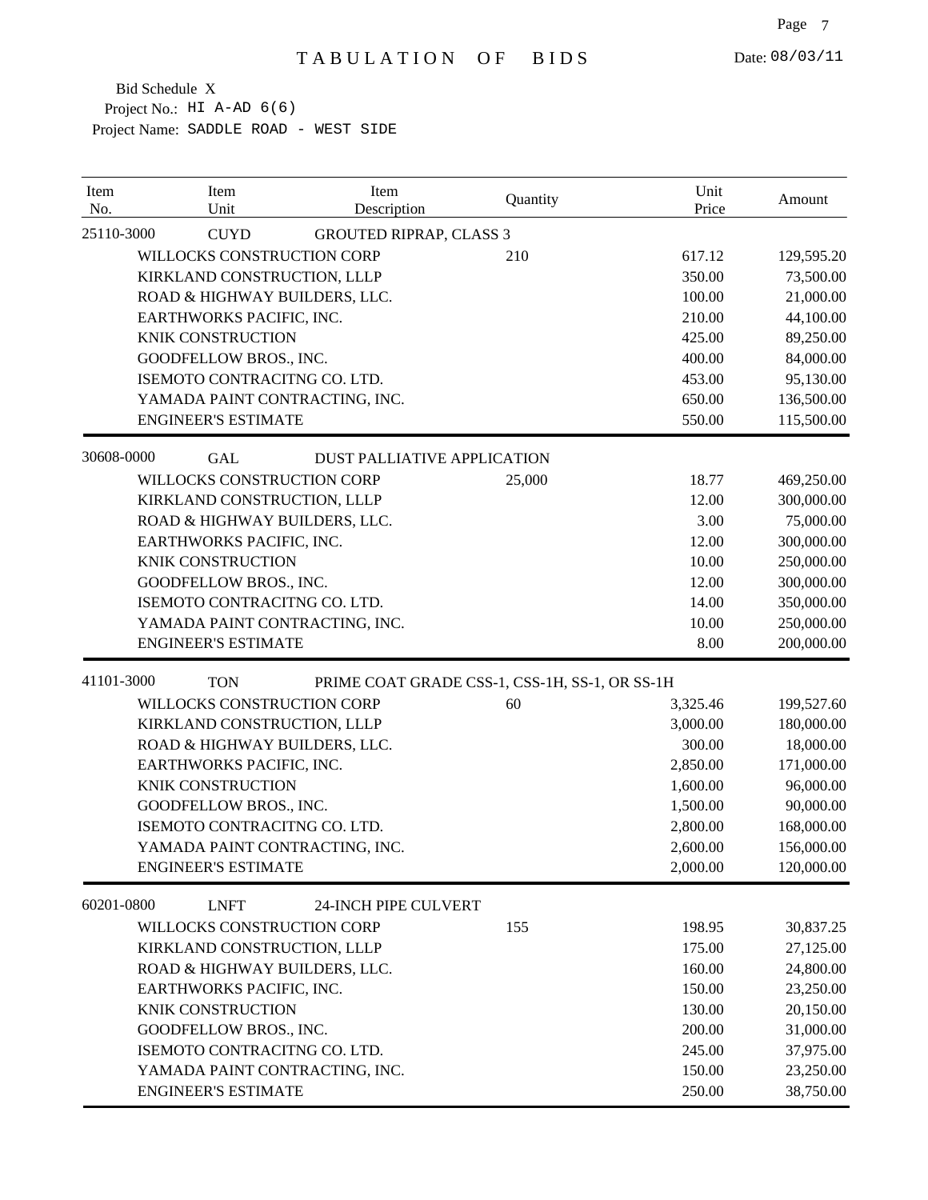| Item<br>No. | Item<br>Unit                   | Item<br>Description                | Quantity                                       | Unit<br>Price | Amount     |
|-------------|--------------------------------|------------------------------------|------------------------------------------------|---------------|------------|
| 25110-3000  | <b>CUYD</b>                    | <b>GROUTED RIPRAP, CLASS 3</b>     |                                                |               |            |
|             | WILLOCKS CONSTRUCTION CORP     |                                    | 210                                            | 617.12        | 129,595.20 |
|             | KIRKLAND CONSTRUCTION, LLLP    |                                    |                                                | 350.00        | 73,500.00  |
|             | ROAD & HIGHWAY BUILDERS, LLC.  |                                    |                                                | 100.00        | 21,000.00  |
|             | EARTHWORKS PACIFIC, INC.       |                                    |                                                | 210.00        | 44,100.00  |
|             | <b>KNIK CONSTRUCTION</b>       |                                    |                                                | 425.00        | 89,250.00  |
|             | GOODFELLOW BROS., INC.         |                                    |                                                | 400.00        | 84,000.00  |
|             | ISEMOTO CONTRACITNG CO. LTD.   |                                    |                                                | 453.00        | 95,130.00  |
|             | YAMADA PAINT CONTRACTING, INC. |                                    |                                                | 650.00        | 136,500.00 |
|             | <b>ENGINEER'S ESTIMATE</b>     |                                    |                                                | 550.00        | 115,500.00 |
| 30608-0000  | <b>GAL</b>                     | <b>DUST PALLIATIVE APPLICATION</b> |                                                |               |            |
|             | WILLOCKS CONSTRUCTION CORP     |                                    | 25,000                                         | 18.77         | 469,250.00 |
|             | KIRKLAND CONSTRUCTION, LLLP    |                                    |                                                | 12.00         | 300,000.00 |
|             | ROAD & HIGHWAY BUILDERS, LLC.  |                                    |                                                | 3.00          | 75,000.00  |
|             | EARTHWORKS PACIFIC, INC.       |                                    |                                                | 12.00         | 300,000.00 |
|             | <b>KNIK CONSTRUCTION</b>       |                                    |                                                | 10.00         | 250,000.00 |
|             | GOODFELLOW BROS., INC.         |                                    |                                                | 12.00         | 300,000.00 |
|             | ISEMOTO CONTRACITNG CO. LTD.   |                                    |                                                | 14.00         | 350,000.00 |
|             | YAMADA PAINT CONTRACTING, INC. |                                    |                                                | 10.00         | 250,000.00 |
|             | <b>ENGINEER'S ESTIMATE</b>     |                                    |                                                | 8.00          | 200,000.00 |
| 41101-3000  | <b>TON</b>                     |                                    | PRIME COAT GRADE CSS-1, CSS-1H, SS-1, OR SS-1H |               |            |
|             | WILLOCKS CONSTRUCTION CORP     |                                    | 60                                             | 3,325.46      | 199,527.60 |
|             | KIRKLAND CONSTRUCTION, LLLP    |                                    |                                                | 3,000.00      | 180,000.00 |
|             | ROAD & HIGHWAY BUILDERS, LLC.  |                                    |                                                | 300.00        | 18,000.00  |
|             | EARTHWORKS PACIFIC, INC.       |                                    |                                                | 2,850.00      | 171,000.00 |
|             | <b>KNIK CONSTRUCTION</b>       |                                    |                                                | 1,600.00      | 96,000.00  |
|             | GOODFELLOW BROS., INC.         |                                    |                                                | 1,500.00      | 90,000.00  |
|             | ISEMOTO CONTRACITNG CO. LTD.   |                                    |                                                | 2,800.00      | 168,000.00 |
|             | YAMADA PAINT CONTRACTING, INC. |                                    |                                                | 2,600.00      | 156,000.00 |
|             | <b>ENGINEER'S ESTIMATE</b>     |                                    |                                                | 2,000.00      | 120,000.00 |
| 60201-0800  | <b>LNFT</b>                    | 24-INCH PIPE CULVERT               |                                                |               |            |
|             | WILLOCKS CONSTRUCTION CORP     |                                    | 155                                            | 198.95        | 30,837.25  |
|             | KIRKLAND CONSTRUCTION, LLLP    |                                    |                                                | 175.00        | 27,125.00  |
|             | ROAD & HIGHWAY BUILDERS, LLC.  |                                    |                                                | 160.00        | 24,800.00  |
|             | EARTHWORKS PACIFIC, INC.       |                                    |                                                | 150.00        | 23,250.00  |
|             | KNIK CONSTRUCTION              |                                    |                                                | 130.00        | 20,150.00  |
|             | GOODFELLOW BROS., INC.         |                                    |                                                | 200.00        | 31,000.00  |
|             | ISEMOTO CONTRACITNG CO. LTD.   |                                    |                                                | 245.00        | 37,975.00  |
|             | YAMADA PAINT CONTRACTING, INC. |                                    |                                                | 150.00        | 23,250.00  |
|             | <b>ENGINEER'S ESTIMATE</b>     |                                    |                                                | 250.00        | 38,750.00  |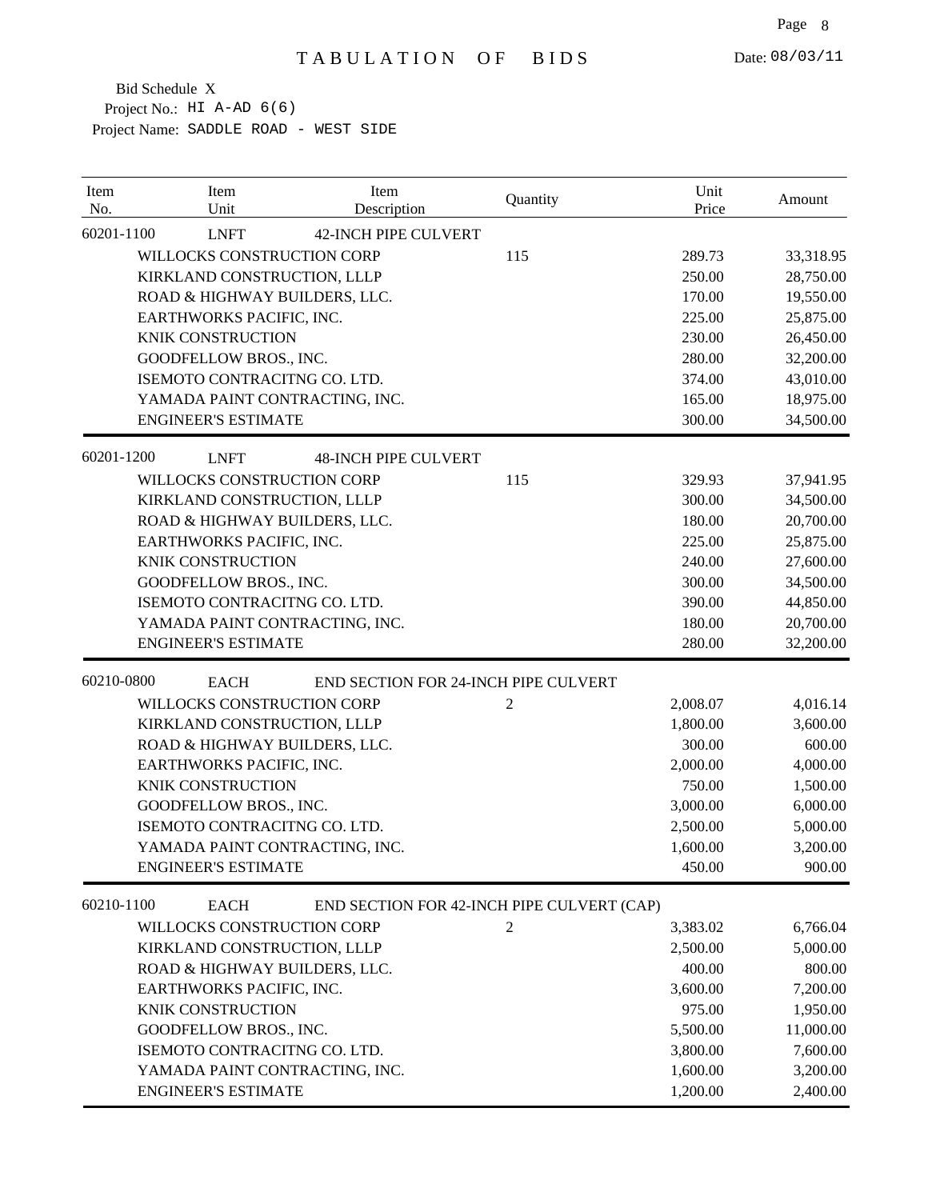| Item<br>No. | Item<br>Unit                   | Item<br>Description                        | Quantity       | Unit<br>Price | Amount    |
|-------------|--------------------------------|--------------------------------------------|----------------|---------------|-----------|
| 60201-1100  | <b>LNFT</b>                    | <b>42-INCH PIPE CULVERT</b>                |                |               |           |
|             | WILLOCKS CONSTRUCTION CORP     |                                            | 115            | 289.73        | 33,318.95 |
|             | KIRKLAND CONSTRUCTION, LLLP    |                                            |                | 250.00        | 28,750.00 |
|             | ROAD & HIGHWAY BUILDERS, LLC.  |                                            |                | 170.00        | 19,550.00 |
|             | EARTHWORKS PACIFIC, INC.       |                                            |                | 225.00        | 25,875.00 |
|             | <b>KNIK CONSTRUCTION</b>       |                                            |                | 230.00        | 26,450.00 |
|             | GOODFELLOW BROS., INC.         |                                            |                | 280.00        | 32,200.00 |
|             | ISEMOTO CONTRACITNG CO. LTD.   |                                            |                | 374.00        | 43,010.00 |
|             | YAMADA PAINT CONTRACTING, INC. |                                            |                | 165.00        | 18,975.00 |
|             | <b>ENGINEER'S ESTIMATE</b>     |                                            |                | 300.00        | 34,500.00 |
| 60201-1200  | <b>LNFT</b>                    | <b>48-INCH PIPE CULVERT</b>                |                |               |           |
|             | WILLOCKS CONSTRUCTION CORP     |                                            | 115            | 329.93        | 37,941.95 |
|             | KIRKLAND CONSTRUCTION, LLLP    |                                            |                | 300.00        | 34,500.00 |
|             | ROAD & HIGHWAY BUILDERS, LLC.  |                                            |                | 180.00        | 20,700.00 |
|             | EARTHWORKS PACIFIC, INC.       |                                            |                | 225.00        | 25,875.00 |
|             | <b>KNIK CONSTRUCTION</b>       |                                            |                | 240.00        | 27,600.00 |
|             | GOODFELLOW BROS., INC.         |                                            |                | 300.00        | 34,500.00 |
|             | ISEMOTO CONTRACITNG CO. LTD.   |                                            |                | 390.00        | 44,850.00 |
|             | YAMADA PAINT CONTRACTING, INC. |                                            |                | 180.00        | 20,700.00 |
|             | <b>ENGINEER'S ESTIMATE</b>     |                                            |                | 280.00        | 32,200.00 |
| 60210-0800  | <b>EACH</b>                    | END SECTION FOR 24-INCH PIPE CULVERT       |                |               |           |
|             | WILLOCKS CONSTRUCTION CORP     |                                            | 2              | 2,008.07      | 4,016.14  |
|             | KIRKLAND CONSTRUCTION, LLLP    |                                            |                | 1,800.00      | 3,600.00  |
|             | ROAD & HIGHWAY BUILDERS, LLC.  |                                            |                | 300.00        | 600.00    |
|             | EARTHWORKS PACIFIC, INC.       |                                            |                | 2,000.00      | 4,000.00  |
|             | <b>KNIK CONSTRUCTION</b>       |                                            |                | 750.00        | 1,500.00  |
|             | GOODFELLOW BROS., INC.         |                                            |                | 3,000.00      | 6,000.00  |
|             | ISEMOTO CONTRACITNG CO. LTD.   |                                            |                | 2,500.00      | 5,000.00  |
|             | YAMADA PAINT CONTRACTING, INC. |                                            |                | 1,600.00      | 3,200.00  |
|             | <b>ENGINEER'S ESTIMATE</b>     |                                            |                | 450.00        | 900.00    |
| 60210-1100  | <b>EACH</b>                    | END SECTION FOR 42-INCH PIPE CULVERT (CAP) |                |               |           |
|             | WILLOCKS CONSTRUCTION CORP     |                                            | $\overline{2}$ | 3,383.02      | 6,766.04  |
|             | KIRKLAND CONSTRUCTION, LLLP    |                                            |                | 2,500.00      | 5,000.00  |
|             | ROAD & HIGHWAY BUILDERS, LLC.  |                                            |                | 400.00        | 800.00    |
|             | EARTHWORKS PACIFIC, INC.       |                                            |                | 3,600.00      | 7,200.00  |
|             | KNIK CONSTRUCTION              |                                            |                | 975.00        | 1,950.00  |
|             | GOODFELLOW BROS., INC.         |                                            |                | 5,500.00      | 11,000.00 |
|             | ISEMOTO CONTRACITNG CO. LTD.   |                                            |                | 3,800.00      | 7,600.00  |
|             | YAMADA PAINT CONTRACTING, INC. |                                            |                | 1,600.00      | 3,200.00  |
|             | <b>ENGINEER'S ESTIMATE</b>     |                                            |                | 1,200.00      | 2,400.00  |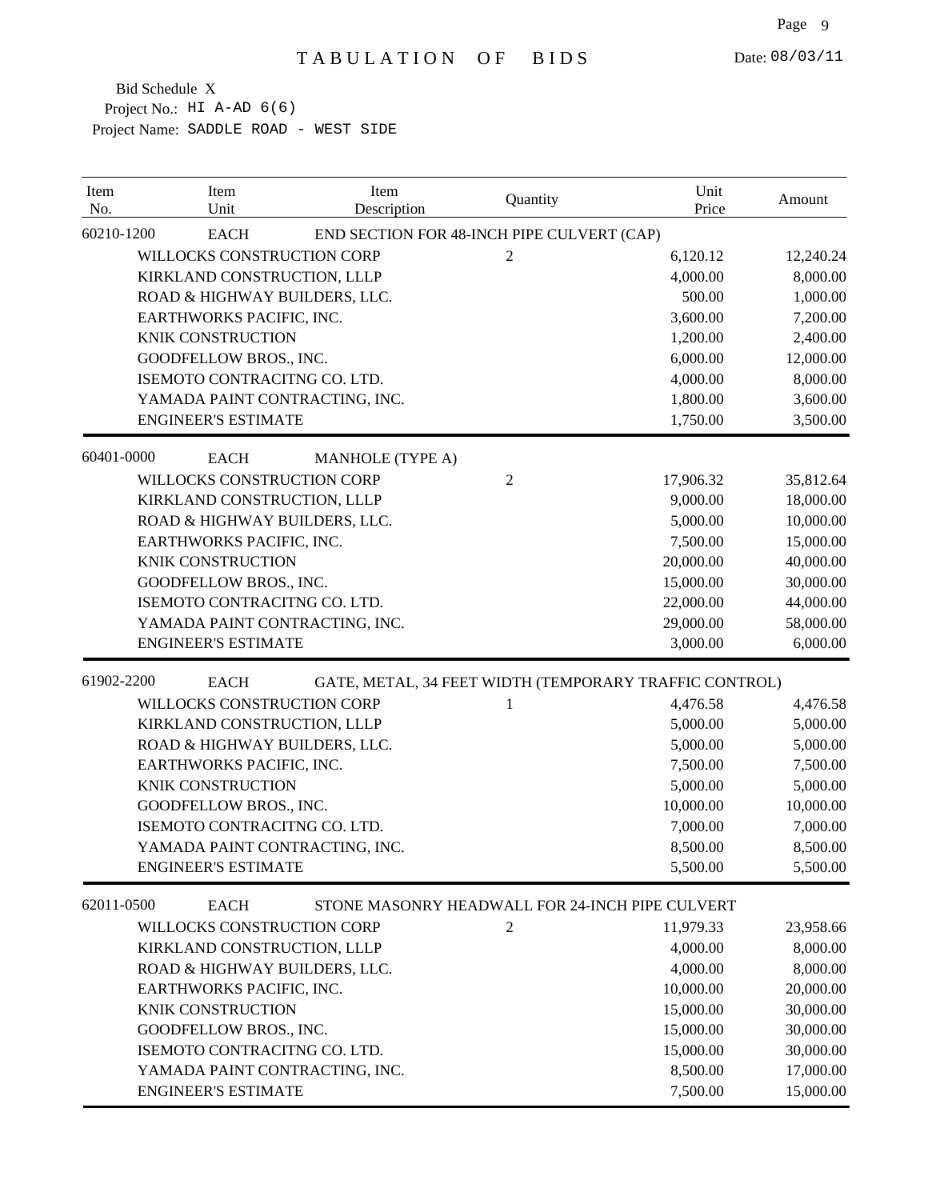| Item<br>No. | Item<br>Unit                   | Item<br>Description                             | Quantity       | Unit<br>Price                                          | Amount    |
|-------------|--------------------------------|-------------------------------------------------|----------------|--------------------------------------------------------|-----------|
| 60210-1200  | <b>EACH</b>                    | END SECTION FOR 48-INCH PIPE CULVERT (CAP)      |                |                                                        |           |
|             | WILLOCKS CONSTRUCTION CORP     |                                                 | $\overline{2}$ | 6,120.12                                               | 12,240.24 |
|             | KIRKLAND CONSTRUCTION, LLLP    |                                                 |                | 4,000.00                                               | 8,000.00  |
|             | ROAD & HIGHWAY BUILDERS, LLC.  |                                                 |                | 500.00                                                 | 1,000.00  |
|             | EARTHWORKS PACIFIC, INC.       |                                                 |                | 3,600.00                                               | 7,200.00  |
|             | KNIK CONSTRUCTION              |                                                 |                | 1,200.00                                               | 2,400.00  |
|             | GOODFELLOW BROS., INC.         |                                                 |                | 6,000.00                                               | 12,000.00 |
|             | ISEMOTO CONTRACITNG CO. LTD.   |                                                 |                | 4,000.00                                               | 8,000.00  |
|             | YAMADA PAINT CONTRACTING, INC. |                                                 |                | 1,800.00                                               | 3,600.00  |
|             | <b>ENGINEER'S ESTIMATE</b>     |                                                 |                | 1,750.00                                               | 3,500.00  |
| 60401-0000  | <b>EACH</b>                    | <b>MANHOLE</b> (TYPE A)                         |                |                                                        |           |
|             | WILLOCKS CONSTRUCTION CORP     |                                                 | $\overline{2}$ | 17,906.32                                              | 35,812.64 |
|             | KIRKLAND CONSTRUCTION, LLLP    |                                                 |                | 9,000.00                                               | 18,000.00 |
|             | ROAD & HIGHWAY BUILDERS, LLC.  |                                                 |                | 5,000.00                                               | 10,000.00 |
|             | EARTHWORKS PACIFIC, INC.       |                                                 |                | 7,500.00                                               | 15,000.00 |
|             | <b>KNIK CONSTRUCTION</b>       |                                                 |                | 20,000.00                                              | 40,000.00 |
|             | GOODFELLOW BROS., INC.         |                                                 |                | 15,000.00                                              | 30,000.00 |
|             | ISEMOTO CONTRACITNG CO. LTD.   |                                                 |                | 22,000.00                                              | 44,000.00 |
|             | YAMADA PAINT CONTRACTING, INC. |                                                 |                | 29,000.00                                              | 58,000.00 |
|             | <b>ENGINEER'S ESTIMATE</b>     |                                                 |                | 3,000.00                                               | 6,000.00  |
| 61902-2200  | <b>EACH</b>                    |                                                 |                | GATE, METAL, 34 FEET WIDTH (TEMPORARY TRAFFIC CONTROL) |           |
|             | WILLOCKS CONSTRUCTION CORP     |                                                 | 1              | 4,476.58                                               | 4,476.58  |
|             | KIRKLAND CONSTRUCTION, LLLP    |                                                 |                | 5,000.00                                               | 5,000.00  |
|             | ROAD & HIGHWAY BUILDERS, LLC.  |                                                 |                | 5,000.00                                               | 5,000.00  |
|             | EARTHWORKS PACIFIC, INC.       |                                                 |                | 7,500.00                                               | 7,500.00  |
|             | <b>KNIK CONSTRUCTION</b>       |                                                 |                | 5,000.00                                               | 5,000.00  |
|             | GOODFELLOW BROS., INC.         |                                                 |                | 10,000.00                                              | 10,000.00 |
|             | ISEMOTO CONTRACITNG CO. LTD.   |                                                 |                | 7,000.00                                               | 7,000.00  |
|             | YAMADA PAINT CONTRACTING, INC. |                                                 |                | 8,500.00                                               | 8,500.00  |
|             | <b>ENGINEER'S ESTIMATE</b>     |                                                 |                | 5,500.00                                               | 5,500.00  |
| 62011-0500  | <b>EACH</b>                    | STONE MASONRY HEADWALL FOR 24-INCH PIPE CULVERT |                |                                                        |           |
|             | WILLOCKS CONSTRUCTION CORP     |                                                 | $\mathfrak{2}$ | 11,979.33                                              | 23,958.66 |
|             | KIRKLAND CONSTRUCTION, LLLP    |                                                 |                | 4,000.00                                               | 8,000.00  |
|             | ROAD & HIGHWAY BUILDERS, LLC.  |                                                 |                | 4,000.00                                               | 8,000.00  |
|             | EARTHWORKS PACIFIC, INC.       |                                                 |                | 10,000.00                                              | 20,000.00 |
|             | KNIK CONSTRUCTION              |                                                 |                | 15,000.00                                              | 30,000.00 |
|             | GOODFELLOW BROS., INC.         |                                                 |                | 15,000.00                                              | 30,000.00 |
|             | ISEMOTO CONTRACITNG CO. LTD.   |                                                 |                | 15,000.00                                              | 30,000.00 |
|             | YAMADA PAINT CONTRACTING, INC. |                                                 |                | 8,500.00                                               | 17,000.00 |
|             | <b>ENGINEER'S ESTIMATE</b>     |                                                 |                | 7,500.00                                               | 15,000.00 |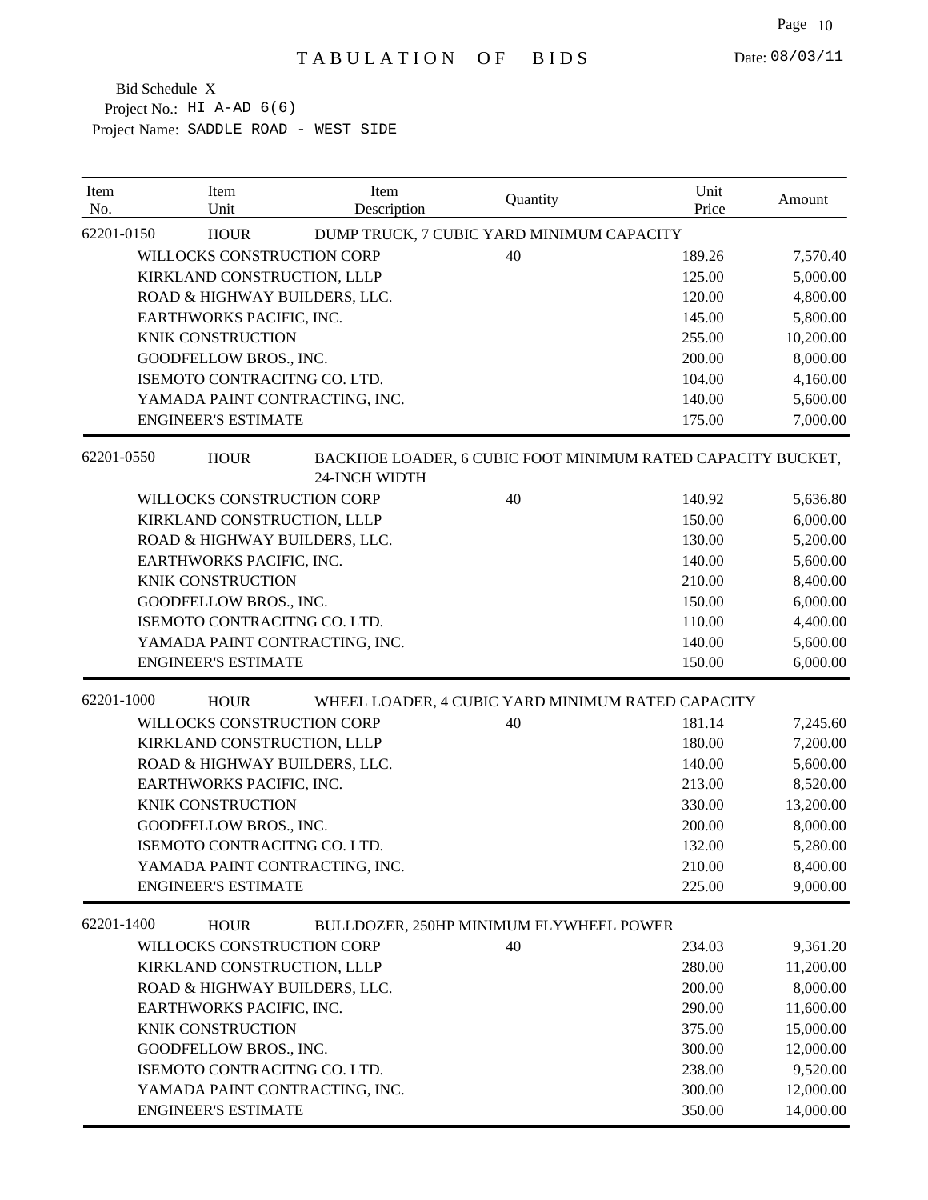| Item<br>No. | Item<br>Unit                   | Item<br>Description  | Quantity                                                    | Unit<br>Price | Amount    |
|-------------|--------------------------------|----------------------|-------------------------------------------------------------|---------------|-----------|
| 62201-0150  | <b>HOUR</b>                    |                      | DUMP TRUCK, 7 CUBIC YARD MINIMUM CAPACITY                   |               |           |
|             | WILLOCKS CONSTRUCTION CORP     |                      | 40                                                          | 189.26        | 7,570.40  |
|             | KIRKLAND CONSTRUCTION, LLLP    |                      |                                                             | 125.00        | 5,000.00  |
|             | ROAD & HIGHWAY BUILDERS, LLC.  |                      |                                                             | 120.00        | 4,800.00  |
|             | EARTHWORKS PACIFIC, INC.       |                      |                                                             | 145.00        | 5,800.00  |
|             | <b>KNIK CONSTRUCTION</b>       |                      |                                                             | 255.00        | 10,200.00 |
|             | GOODFELLOW BROS., INC.         |                      |                                                             | 200.00        | 8,000.00  |
|             | ISEMOTO CONTRACITNG CO. LTD.   |                      |                                                             | 104.00        | 4,160.00  |
|             | YAMADA PAINT CONTRACTING, INC. |                      |                                                             | 140.00        | 5,600.00  |
|             | <b>ENGINEER'S ESTIMATE</b>     |                      |                                                             | 175.00        | 7,000.00  |
| 62201-0550  | <b>HOUR</b>                    | <b>24-INCH WIDTH</b> | BACKHOE LOADER, 6 CUBIC FOOT MINIMUM RATED CAPACITY BUCKET, |               |           |
|             | WILLOCKS CONSTRUCTION CORP     |                      | 40                                                          | 140.92        | 5,636.80  |
|             | KIRKLAND CONSTRUCTION, LLLP    |                      |                                                             | 150.00        | 6,000.00  |
|             | ROAD & HIGHWAY BUILDERS, LLC.  |                      |                                                             | 130.00        | 5,200.00  |
|             | EARTHWORKS PACIFIC, INC.       |                      |                                                             | 140.00        | 5,600.00  |
|             | <b>KNIK CONSTRUCTION</b>       |                      |                                                             | 210.00        | 8,400.00  |
|             | GOODFELLOW BROS., INC.         |                      |                                                             | 150.00        | 6,000.00  |
|             | ISEMOTO CONTRACITNG CO. LTD.   |                      |                                                             | 110.00        | 4,400.00  |
|             | YAMADA PAINT CONTRACTING, INC. |                      |                                                             | 140.00        | 5,600.00  |
|             | <b>ENGINEER'S ESTIMATE</b>     |                      |                                                             | 150.00        | 6,000.00  |
| 62201-1000  | <b>HOUR</b>                    |                      | WHEEL LOADER, 4 CUBIC YARD MINIMUM RATED CAPACITY           |               |           |
|             | WILLOCKS CONSTRUCTION CORP     |                      | 40                                                          | 181.14        | 7,245.60  |
|             | KIRKLAND CONSTRUCTION, LLLP    |                      |                                                             | 180.00        | 7,200.00  |
|             | ROAD & HIGHWAY BUILDERS, LLC.  |                      |                                                             | 140.00        | 5,600.00  |
|             | EARTHWORKS PACIFIC, INC.       |                      |                                                             | 213.00        | 8,520.00  |
|             | <b>KNIK CONSTRUCTION</b>       |                      |                                                             | 330.00        | 13,200.00 |
|             | GOODFELLOW BROS., INC.         |                      |                                                             | 200.00        | 8,000.00  |
|             | ISEMOTO CONTRACITNG CO. LTD.   |                      |                                                             | 132.00        | 5,280.00  |
|             | YAMADA PAINT CONTRACTING, INC. |                      |                                                             | 210.00        | 8,400.00  |
|             | <b>ENGINEER'S ESTIMATE</b>     |                      |                                                             | 225.00        | 9,000.00  |
| 62201-1400  | <b>HOUR</b>                    |                      | BULLDOZER, 250HP MINIMUM FLYWHEEL POWER                     |               |           |
|             | WILLOCKS CONSTRUCTION CORP     |                      | 40                                                          | 234.03        | 9,361.20  |
|             | KIRKLAND CONSTRUCTION, LLLP    |                      |                                                             | 280.00        | 11,200.00 |
|             | ROAD & HIGHWAY BUILDERS, LLC.  |                      |                                                             | 200.00        | 8,000.00  |
|             | EARTHWORKS PACIFIC, INC.       |                      |                                                             | 290.00        | 11,600.00 |
|             | KNIK CONSTRUCTION              |                      |                                                             | 375.00        | 15,000.00 |
|             | GOODFELLOW BROS., INC.         |                      |                                                             | 300.00        | 12,000.00 |
|             | ISEMOTO CONTRACITNG CO. LTD.   |                      |                                                             | 238.00        | 9,520.00  |
|             | YAMADA PAINT CONTRACTING, INC. |                      |                                                             | 300.00        | 12,000.00 |
|             | <b>ENGINEER'S ESTIMATE</b>     |                      |                                                             | 350.00        | 14,000.00 |
|             |                                |                      |                                                             |               |           |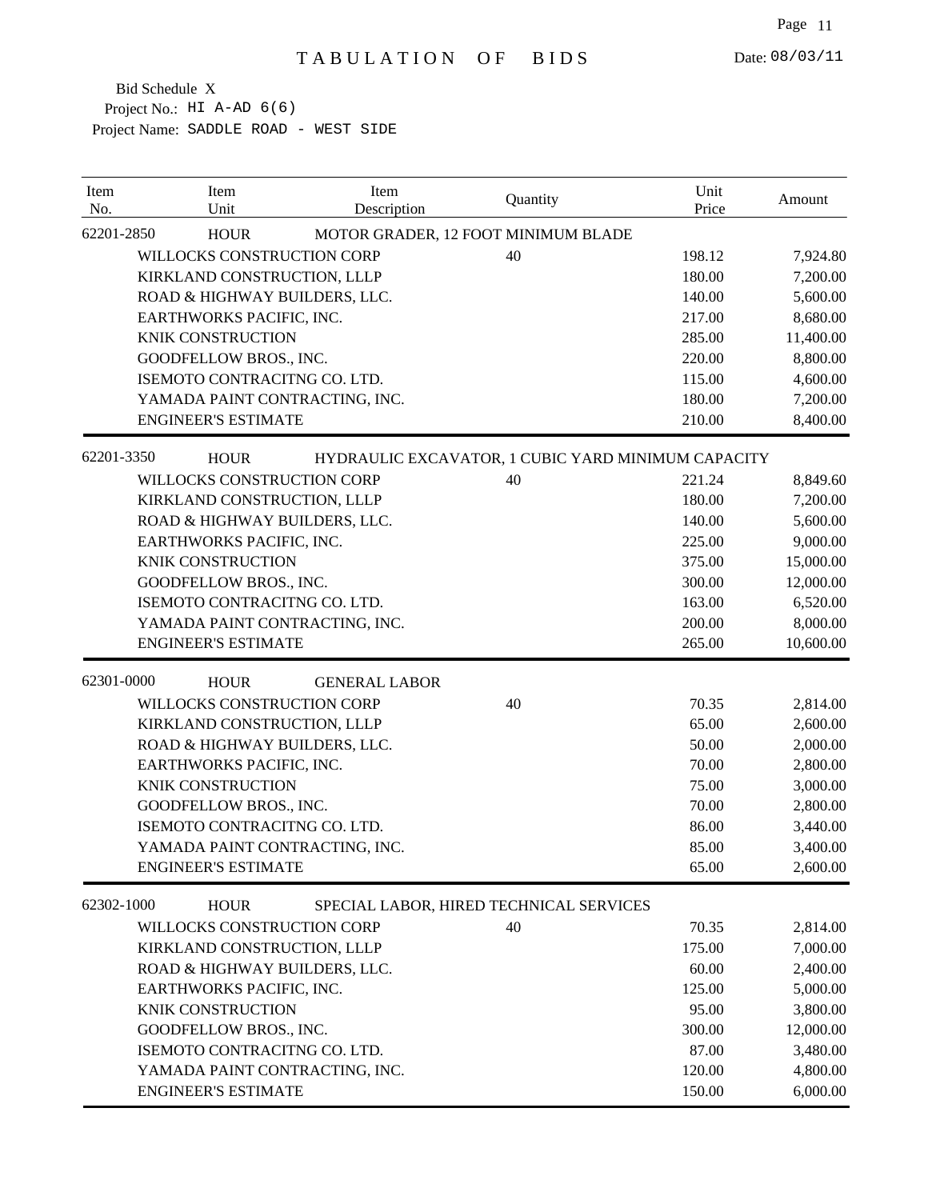| Item<br>No. | Item<br>Unit                   | Item<br>Description  | Quantity                                           | Unit<br>Price | Amount               |
|-------------|--------------------------------|----------------------|----------------------------------------------------|---------------|----------------------|
| 62201-2850  | <b>HOUR</b>                    |                      | MOTOR GRADER, 12 FOOT MINIMUM BLADE                |               |                      |
|             | WILLOCKS CONSTRUCTION CORP     |                      | 40                                                 | 198.12        | 7,924.80             |
|             | KIRKLAND CONSTRUCTION, LLLP    |                      |                                                    | 180.00        | 7,200.00             |
|             | ROAD & HIGHWAY BUILDERS, LLC.  |                      |                                                    | 140.00        | 5,600.00             |
|             | EARTHWORKS PACIFIC, INC.       |                      |                                                    | 217.00        | 8,680.00             |
|             | KNIK CONSTRUCTION              |                      |                                                    | 285.00        | 11,400.00            |
|             | GOODFELLOW BROS., INC.         |                      |                                                    | 220.00        | 8,800.00             |
|             | ISEMOTO CONTRACITNG CO. LTD.   |                      |                                                    | 115.00        | 4,600.00             |
|             | YAMADA PAINT CONTRACTING, INC. |                      |                                                    | 180.00        | 7,200.00             |
|             | <b>ENGINEER'S ESTIMATE</b>     |                      |                                                    | 210.00        | 8,400.00             |
| 62201-3350  | <b>HOUR</b>                    |                      | HYDRAULIC EXCAVATOR, 1 CUBIC YARD MINIMUM CAPACITY |               |                      |
|             | WILLOCKS CONSTRUCTION CORP     |                      | 40                                                 | 221.24        | 8,849.60             |
|             | KIRKLAND CONSTRUCTION, LLLP    |                      |                                                    | 180.00        | 7,200.00             |
|             | ROAD & HIGHWAY BUILDERS, LLC.  |                      |                                                    | 140.00        | 5,600.00             |
|             | EARTHWORKS PACIFIC, INC.       |                      |                                                    | 225.00        | 9,000.00             |
|             | <b>KNIK CONSTRUCTION</b>       |                      |                                                    | 375.00        | 15,000.00            |
|             | GOODFELLOW BROS., INC.         |                      |                                                    | 300.00        | 12,000.00            |
|             | ISEMOTO CONTRACITNG CO. LTD.   |                      |                                                    | 163.00        | 6,520.00             |
|             | YAMADA PAINT CONTRACTING, INC. |                      |                                                    | 200.00        | 8,000.00             |
|             | <b>ENGINEER'S ESTIMATE</b>     |                      |                                                    | 265.00        | 10,600.00            |
| 62301-0000  | <b>HOUR</b>                    | <b>GENERAL LABOR</b> |                                                    |               |                      |
|             | WILLOCKS CONSTRUCTION CORP     |                      | 40                                                 | 70.35         |                      |
|             | KIRKLAND CONSTRUCTION, LLLP    |                      |                                                    | 65.00         | 2,814.00<br>2,600.00 |
|             | ROAD & HIGHWAY BUILDERS, LLC.  |                      |                                                    | 50.00         | 2,000.00             |
|             | EARTHWORKS PACIFIC, INC.       |                      |                                                    | 70.00         | 2,800.00             |
|             | <b>KNIK CONSTRUCTION</b>       |                      |                                                    | 75.00         | 3,000.00             |
|             | GOODFELLOW BROS., INC.         |                      |                                                    | 70.00         | 2,800.00             |
|             | ISEMOTO CONTRACITNG CO. LTD.   |                      |                                                    | 86.00         | 3,440.00             |
|             | YAMADA PAINT CONTRACTING, INC. |                      |                                                    | 85.00         | 3,400.00             |
|             | <b>ENGINEER'S ESTIMATE</b>     |                      |                                                    | 65.00         | 2,600.00             |
|             |                                |                      |                                                    |               |                      |
| 62302-1000  | <b>HOUR</b>                    |                      | SPECIAL LABOR, HIRED TECHNICAL SERVICES            |               |                      |
|             | WILLOCKS CONSTRUCTION CORP     |                      | 40                                                 | 70.35         | 2,814.00             |
|             | KIRKLAND CONSTRUCTION, LLLP    |                      |                                                    | 175.00        | 7,000.00             |
|             | ROAD & HIGHWAY BUILDERS, LLC.  |                      |                                                    | 60.00         | 2,400.00             |
|             | EARTHWORKS PACIFIC, INC.       |                      |                                                    | 125.00        | 5,000.00             |
|             | KNIK CONSTRUCTION              |                      |                                                    | 95.00         | 3,800.00             |
|             | GOODFELLOW BROS., INC.         |                      |                                                    | 300.00        | 12,000.00            |
|             | ISEMOTO CONTRACITNG CO. LTD.   |                      |                                                    | 87.00         | 3,480.00             |
|             | YAMADA PAINT CONTRACTING, INC. |                      |                                                    | 120.00        | 4,800.00             |
|             | <b>ENGINEER'S ESTIMATE</b>     |                      |                                                    | 150.00        | 6,000.00             |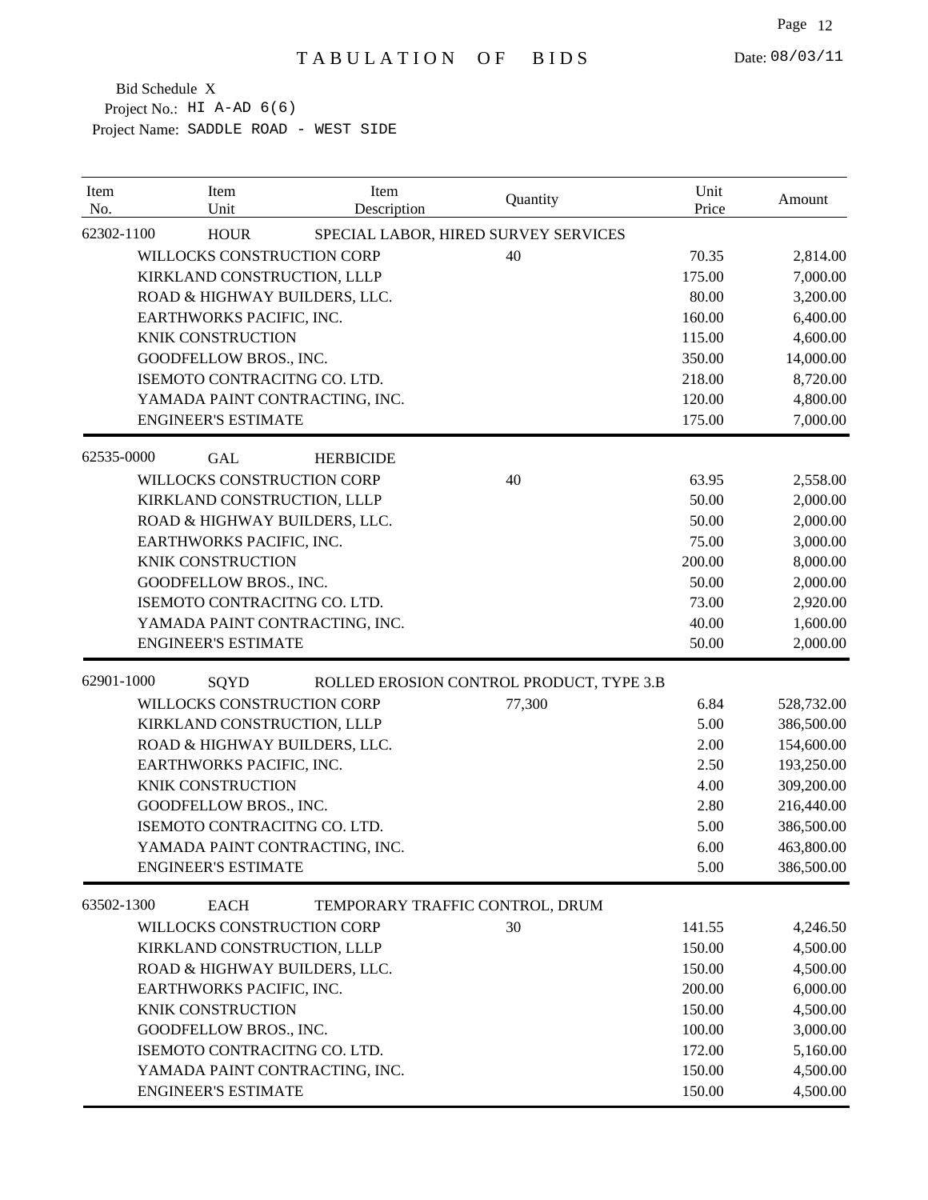| Item<br>No. | Item<br>Unit                   | Item<br>Description             | Quantity                                 | Unit<br>Price | Amount     |
|-------------|--------------------------------|---------------------------------|------------------------------------------|---------------|------------|
| 62302-1100  | <b>HOUR</b>                    |                                 | SPECIAL LABOR, HIRED SURVEY SERVICES     |               |            |
|             | WILLOCKS CONSTRUCTION CORP     |                                 | 40                                       | 70.35         | 2,814.00   |
|             | KIRKLAND CONSTRUCTION, LLLP    |                                 |                                          | 175.00        | 7,000.00   |
|             | ROAD & HIGHWAY BUILDERS, LLC.  |                                 |                                          | 80.00         | 3,200.00   |
|             | EARTHWORKS PACIFIC, INC.       |                                 |                                          | 160.00        | 6,400.00   |
|             | <b>KNIK CONSTRUCTION</b>       |                                 |                                          | 115.00        | 4,600.00   |
|             | GOODFELLOW BROS., INC.         |                                 |                                          | 350.00        | 14,000.00  |
|             | ISEMOTO CONTRACITNG CO. LTD.   |                                 |                                          | 218.00        | 8,720.00   |
|             | YAMADA PAINT CONTRACTING, INC. |                                 |                                          | 120.00        | 4,800.00   |
|             | <b>ENGINEER'S ESTIMATE</b>     |                                 |                                          | 175.00        | 7,000.00   |
| 62535-0000  | <b>GAL</b>                     | <b>HERBICIDE</b>                |                                          |               |            |
|             | WILLOCKS CONSTRUCTION CORP     |                                 | 40                                       | 63.95         | 2,558.00   |
|             | KIRKLAND CONSTRUCTION, LLLP    |                                 |                                          | 50.00         | 2,000.00   |
|             | ROAD & HIGHWAY BUILDERS, LLC.  |                                 |                                          | 50.00         | 2,000.00   |
|             | EARTHWORKS PACIFIC, INC.       |                                 |                                          | 75.00         | 3,000.00   |
|             | <b>KNIK CONSTRUCTION</b>       |                                 |                                          | 200.00        | 8,000.00   |
|             | GOODFELLOW BROS., INC.         |                                 |                                          | 50.00         | 2,000.00   |
|             | ISEMOTO CONTRACITNG CO. LTD.   |                                 |                                          | 73.00         | 2,920.00   |
|             | YAMADA PAINT CONTRACTING, INC. |                                 |                                          | 40.00         | 1,600.00   |
|             | <b>ENGINEER'S ESTIMATE</b>     |                                 |                                          | 50.00         | 2,000.00   |
| 62901-1000  | SQYD                           |                                 | ROLLED EROSION CONTROL PRODUCT, TYPE 3.B |               |            |
|             | WILLOCKS CONSTRUCTION CORP     |                                 | 77,300                                   | 6.84          | 528,732.00 |
|             | KIRKLAND CONSTRUCTION, LLLP    |                                 |                                          | 5.00          | 386,500.00 |
|             | ROAD & HIGHWAY BUILDERS, LLC.  |                                 |                                          | 2.00          | 154,600.00 |
|             | EARTHWORKS PACIFIC, INC.       |                                 |                                          | 2.50          | 193,250.00 |
|             | <b>KNIK CONSTRUCTION</b>       |                                 |                                          | 4.00          | 309,200.00 |
|             | GOODFELLOW BROS., INC.         |                                 |                                          | 2.80          | 216,440.00 |
|             | ISEMOTO CONTRACITNG CO. LTD.   |                                 |                                          | 5.00          | 386,500.00 |
|             | YAMADA PAINT CONTRACTING, INC. |                                 |                                          | 6.00          | 463,800.00 |
|             | <b>ENGINEER'S ESTIMATE</b>     |                                 |                                          | 5.00          | 386,500.00 |
| 63502-1300  | <b>EACH</b>                    | TEMPORARY TRAFFIC CONTROL, DRUM |                                          |               |            |
|             | WILLOCKS CONSTRUCTION CORP     |                                 | 30                                       | 141.55        | 4,246.50   |
|             | KIRKLAND CONSTRUCTION, LLLP    |                                 |                                          | 150.00        | 4,500.00   |
|             | ROAD & HIGHWAY BUILDERS, LLC.  |                                 |                                          | 150.00        | 4,500.00   |
|             | EARTHWORKS PACIFIC, INC.       |                                 |                                          | 200.00        | 6,000.00   |
|             | KNIK CONSTRUCTION              |                                 |                                          | 150.00        | 4,500.00   |
|             | GOODFELLOW BROS., INC.         |                                 |                                          | 100.00        | 3,000.00   |
|             | ISEMOTO CONTRACITNG CO. LTD.   |                                 |                                          | 172.00        | 5,160.00   |
|             | YAMADA PAINT CONTRACTING, INC. |                                 |                                          | 150.00        | 4,500.00   |
|             | <b>ENGINEER'S ESTIMATE</b>     |                                 |                                          | 150.00        | 4,500.00   |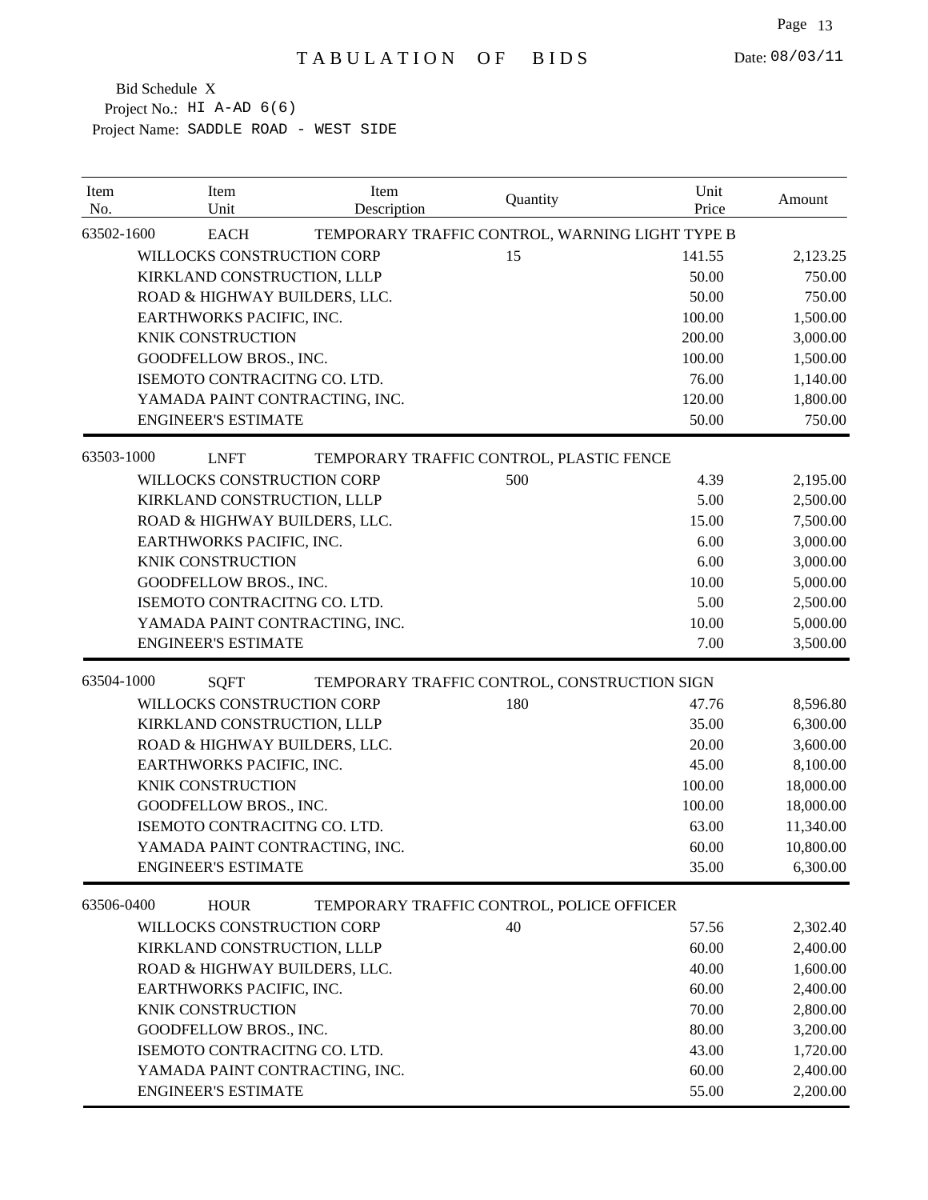| Item<br>No. | Item<br>Unit                   | Item<br>Description | Quantity                                        | Unit<br>Price | Amount    |
|-------------|--------------------------------|---------------------|-------------------------------------------------|---------------|-----------|
| 63502-1600  | <b>EACH</b>                    |                     | TEMPORARY TRAFFIC CONTROL, WARNING LIGHT TYPE B |               |           |
|             | WILLOCKS CONSTRUCTION CORP     |                     | 15                                              | 141.55        | 2,123.25  |
|             | KIRKLAND CONSTRUCTION, LLLP    |                     |                                                 | 50.00         | 750.00    |
|             | ROAD & HIGHWAY BUILDERS, LLC.  |                     |                                                 | 50.00         | 750.00    |
|             | EARTHWORKS PACIFIC, INC.       |                     |                                                 | 100.00        | 1,500.00  |
|             | <b>KNIK CONSTRUCTION</b>       |                     |                                                 | 200.00        | 3,000.00  |
|             | <b>GOODFELLOW BROS., INC.</b>  |                     |                                                 | 100.00        | 1,500.00  |
|             | ISEMOTO CONTRACITNG CO. LTD.   |                     |                                                 | 76.00         | 1,140.00  |
|             | YAMADA PAINT CONTRACTING, INC. |                     |                                                 | 120.00        | 1,800.00  |
|             | <b>ENGINEER'S ESTIMATE</b>     |                     |                                                 | 50.00         | 750.00    |
| 63503-1000  | <b>LNFT</b>                    |                     | TEMPORARY TRAFFIC CONTROL, PLASTIC FENCE        |               |           |
|             | WILLOCKS CONSTRUCTION CORP     |                     | 500                                             | 4.39          | 2,195.00  |
|             | KIRKLAND CONSTRUCTION, LLLP    |                     |                                                 | 5.00          | 2,500.00  |
|             | ROAD & HIGHWAY BUILDERS, LLC.  |                     |                                                 | 15.00         | 7,500.00  |
|             | EARTHWORKS PACIFIC, INC.       |                     |                                                 | 6.00          | 3,000.00  |
|             | <b>KNIK CONSTRUCTION</b>       |                     |                                                 | 6.00          | 3,000.00  |
|             | GOODFELLOW BROS., INC.         |                     |                                                 | 10.00         | 5,000.00  |
|             | ISEMOTO CONTRACITNG CO. LTD.   |                     |                                                 | 5.00          | 2,500.00  |
|             | YAMADA PAINT CONTRACTING, INC. |                     |                                                 | 10.00         | 5,000.00  |
|             | <b>ENGINEER'S ESTIMATE</b>     |                     |                                                 | 7.00          | 3,500.00  |
| 63504-1000  | <b>SQFT</b>                    |                     | TEMPORARY TRAFFIC CONTROL, CONSTRUCTION SIGN    |               |           |
|             | WILLOCKS CONSTRUCTION CORP     |                     | 180                                             | 47.76         | 8,596.80  |
|             | KIRKLAND CONSTRUCTION, LLLP    |                     |                                                 | 35.00         | 6,300.00  |
|             | ROAD & HIGHWAY BUILDERS, LLC.  |                     |                                                 | 20.00         | 3,600.00  |
|             | EARTHWORKS PACIFIC, INC.       |                     |                                                 | 45.00         | 8,100.00  |
|             | KNIK CONSTRUCTION              |                     |                                                 | 100.00        | 18,000.00 |
|             | GOODFELLOW BROS., INC.         |                     |                                                 | 100.00        | 18,000.00 |
|             | ISEMOTO CONTRACITNG CO. LTD.   |                     |                                                 | 63.00         | 11,340.00 |
|             | YAMADA PAINT CONTRACTING, INC. |                     |                                                 | 60.00         | 10,800.00 |
|             | <b>ENGINEER'S ESTIMATE</b>     |                     |                                                 | 35.00         | 6,300.00  |
| 63506-0400  | <b>HOUR</b>                    |                     | TEMPORARY TRAFFIC CONTROL, POLICE OFFICER       |               |           |
|             | WILLOCKS CONSTRUCTION CORP     |                     | 40                                              | 57.56         | 2,302.40  |
|             | KIRKLAND CONSTRUCTION, LLLP    |                     |                                                 | 60.00         | 2,400.00  |
|             | ROAD & HIGHWAY BUILDERS, LLC.  |                     |                                                 | 40.00         | 1,600.00  |
|             | EARTHWORKS PACIFIC, INC.       |                     |                                                 | 60.00         | 2,400.00  |
|             | KNIK CONSTRUCTION              |                     |                                                 | 70.00         | 2,800.00  |
|             | GOODFELLOW BROS., INC.         |                     |                                                 | 80.00         | 3,200.00  |
|             | ISEMOTO CONTRACITNG CO. LTD.   |                     |                                                 | 43.00         | 1,720.00  |
|             | YAMADA PAINT CONTRACTING, INC. |                     |                                                 | 60.00         | 2,400.00  |
|             | <b>ENGINEER'S ESTIMATE</b>     |                     |                                                 | 55.00         | 2,200.00  |